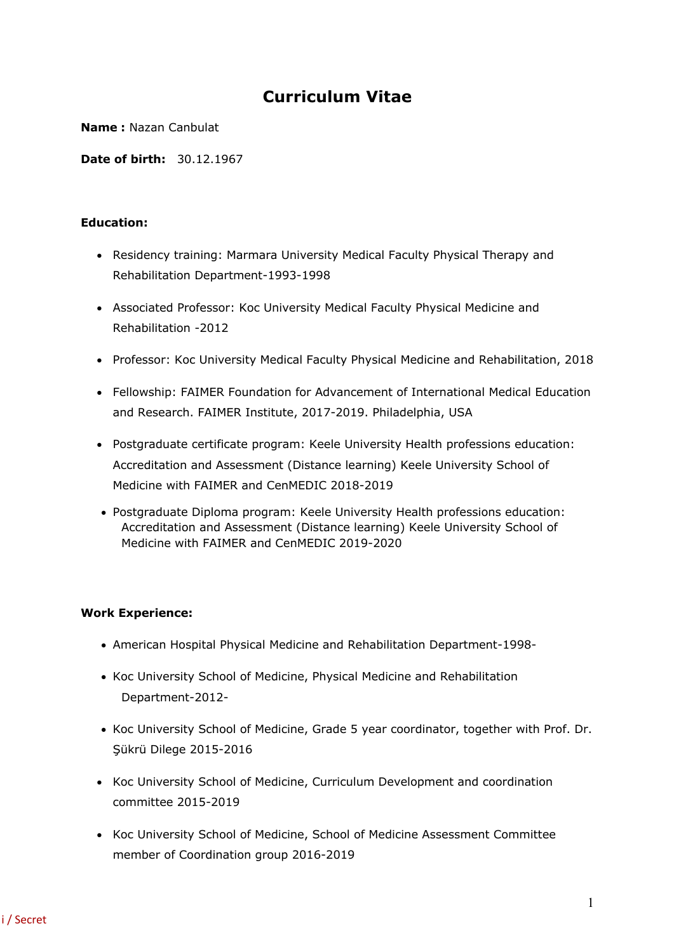# **Curriculum Vitae**

**Name :** Nazan Canbulat

**Date of birth:** 30.12.1967

#### **Education:**

- Residency training: Marmara University Medical Faculty Physical Therapy and Rehabilitation Department-1993-1998
- Associated Professor: Koc University Medical Faculty Physical Medicine and Rehabilitation -2012
- Professor: Koc University Medical Faculty Physical Medicine and Rehabilitation, 2018
- Fellowship: FAIMER Foundation for Advancement of International Medical Education and Research. FAIMER Institute, 2017-2019. Philadelphia, USA
- Postgraduate certificate program: Keele University Health professions education: Accreditation and Assessment (Distance learning) Keele University School of Medicine with FAIMER and CenMEDIC 2018-2019
- Postgraduate Diploma program: Keele University Health professions education: Accreditation and Assessment (Distance learning) Keele University School of Medicine with FAIMER and CenMEDIC 2019-2020

## **Work Experience:**

- American Hospital Physical Medicine and Rehabilitation Department-1998-
- Koc University School of Medicine, Physical Medicine and Rehabilitation Department-2012-
- Koc University School of Medicine, Grade 5 year coordinator, together with Prof. Dr. Şükrü Dilege 2015-2016
- Koc University School of Medicine, Curriculum Development and coordination committee 2015-2019
- Koc University School of Medicine, School of Medicine Assessment Committee member of Coordination group 2016-2019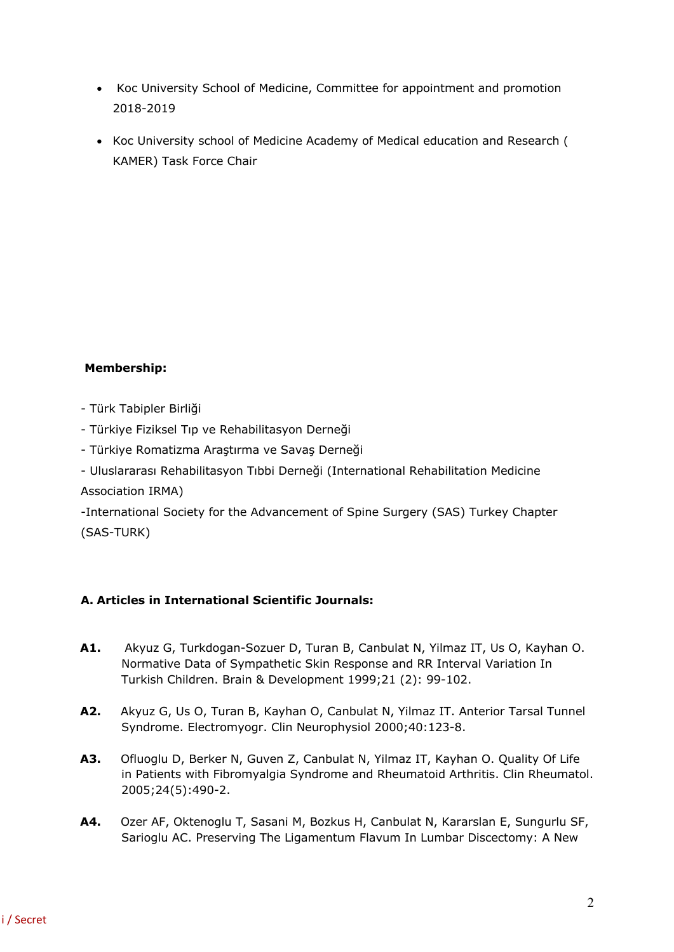- Koc University School of Medicine, Committee for appointment and promotion 2018-2019
- Koc University school of Medicine Academy of Medical education and Research ( KAMER) Task Force Chair

## **Membership:**

- Türk Tabipler Birliği
- Türkiye Fiziksel Tıp ve Rehabilitasyon Derneği
- Türkiye Romatizma Araştırma ve Savaş Derneği
- Uluslararası Rehabilitasyon Tıbbi Derneği (International Rehabilitation Medicine

Association IRMA)

-International Society for the Advancement of Spine Surgery (SAS) Turkey Chapter (SAS-TURK)

## **A. Articles in International Scientific Journals:**

- **A1.** Akyuz G, Turkdogan-Sozuer D, Turan B, Canbulat N, Yilmaz IT, Us O, Kayhan O. Normative Data of Sympathetic Skin Response and RR Interval Variation In Turkish Children. Brain & Development 1999;21 (2): 99-102.
- **A2.** Akyuz G, Us O, Turan B, Kayhan O, Canbulat N, Yilmaz IT. Anterior Tarsal Tunnel Syndrome. Electromyogr. Clin Neurophysiol 2000;40:123-8.
- **A3.** Ofluoglu D, Berker N, Guven Z, Canbulat N, Yilmaz IT, Kayhan O. Quality Of Life in Patients with Fibromyalgia Syndrome and Rheumatoid Arthritis. Clin Rheumatol. 2005;24(5):490-2.
- **A4.** Ozer AF, Oktenoglu T, Sasani M, Bozkus H, Canbulat N, Kararslan E, Sungurlu SF, Sarioglu AC. Preserving The Ligamentum Flavum In Lumbar Discectomy: A New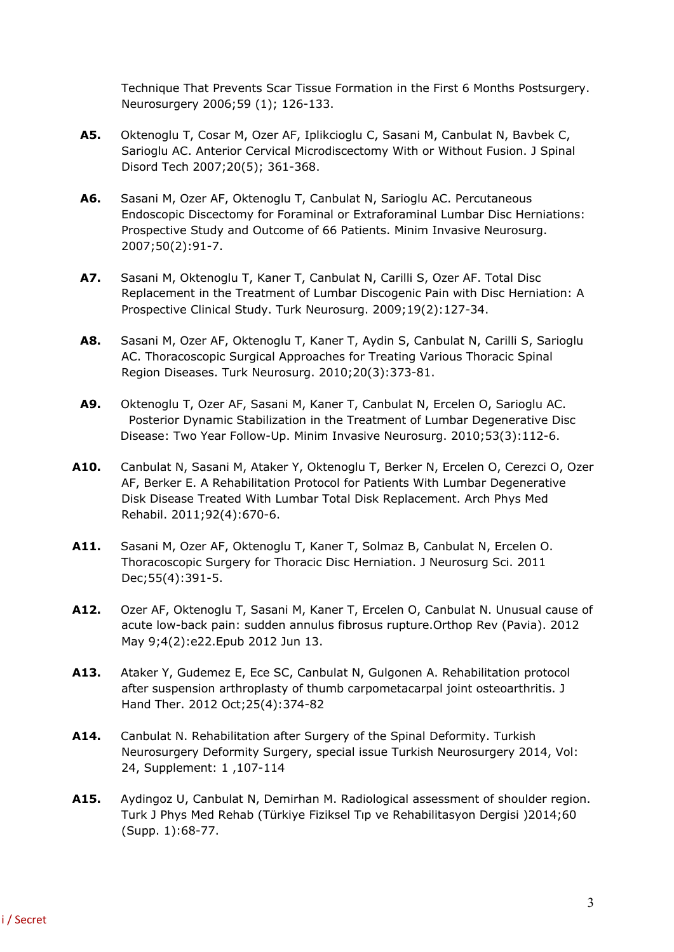Technique That Prevents Scar Tissue Formation in the First 6 Months Postsurgery. Neurosurgery 2006;59 (1); 126-133.

- **A5.** Oktenoglu T, Cosar M, Ozer AF, Iplikcioglu C, Sasani M, Canbulat N, Bavbek C, Sarioglu AC. Anterior Cervical Microdiscectomy With or Without Fusion. J Spinal Disord Tech 2007;20(5); 361-368.
- **A6.** Sasani M, Ozer AF, Oktenoglu T, Canbulat N, Sarioglu AC. Percutaneous Endoscopic Discectomy for Foraminal or Extraforaminal Lumbar Disc Herniations: Prospective Study and Outcome of 66 Patients. Minim Invasive Neurosurg. 2007;50(2):91-7.
- **A7.** Sasani M, Oktenoglu T, Kaner T, Canbulat N, Carilli S, Ozer AF. Total Disc Replacement in the Treatment of Lumbar Discogenic Pain with Disc Herniation: A Prospective Clinical Study. Turk Neurosurg. 2009;19(2):127-34.
- **A8.** Sasani M, Ozer AF, Oktenoglu T, Kaner T, Aydin S, Canbulat N, Carilli S, Sarioglu AC. Thoracoscopic Surgical Approaches for Treating Various Thoracic Spinal Region Diseases. Turk Neurosurg. 2010;20(3):373-81.
- **A9.** Oktenoglu T, Ozer AF, Sasani M, Kaner T, Canbulat N, Ercelen O, Sarioglu AC. Posterior Dynamic Stabilization in the Treatment of Lumbar Degenerative Disc Disease: Two Year Follow-Up. Minim Invasive Neurosurg. 2010;53(3):112-6.
- **A10.** Canbulat N, Sasani M, Ataker Y, Oktenoglu T, Berker N, Ercelen O, Cerezci O, Ozer AF, Berker E. A Rehabilitation Protocol for Patients With Lumbar Degenerative Disk Disease Treated With Lumbar Total Disk Replacement. Arch Phys Med Rehabil. 2011;92(4):670-6.
- **A11.** Sasani M, Ozer AF, Oktenoglu T, Kaner T, Solmaz B, Canbulat N, Ercelen O. Thoracoscopic Surgery for Thoracic Disc Herniation. J Neurosurg Sci. 2011 Dec;55(4):391-5.
- **A12.** Ozer AF, Oktenoglu T, Sasani M, Kaner T, Ercelen O, Canbulat N. Unusual cause of acute low-back pain: sudden annulus fibrosus rupture.Orthop Rev (Pavia). 2012 May 9;4(2):e22.Epub 2012 Jun 13.
- **A13.** Ataker Y, Gudemez E, Ece SC, Canbulat N, Gulgonen A. Rehabilitation protocol after suspension arthroplasty of thumb carpometacarpal joint osteoarthritis. J Hand Ther. 2012 Oct;25(4):374-82
- **A14.** Canbulat N. Rehabilitation after Surgery of the Spinal Deformity. Turkish Neurosurgery Deformity Surgery, special issue Turkish Neurosurgery 2014, Vol: 24, Supplement: 1 ,107-114
- **A15.** Aydingoz U, Canbulat N, Demirhan M. Radiological assessment of shoulder region. Turk J Phys Med Rehab (Türkiye Fiziksel Tıp ve Rehabilitasyon Dergisi )2014;60 (Supp. 1):68-77.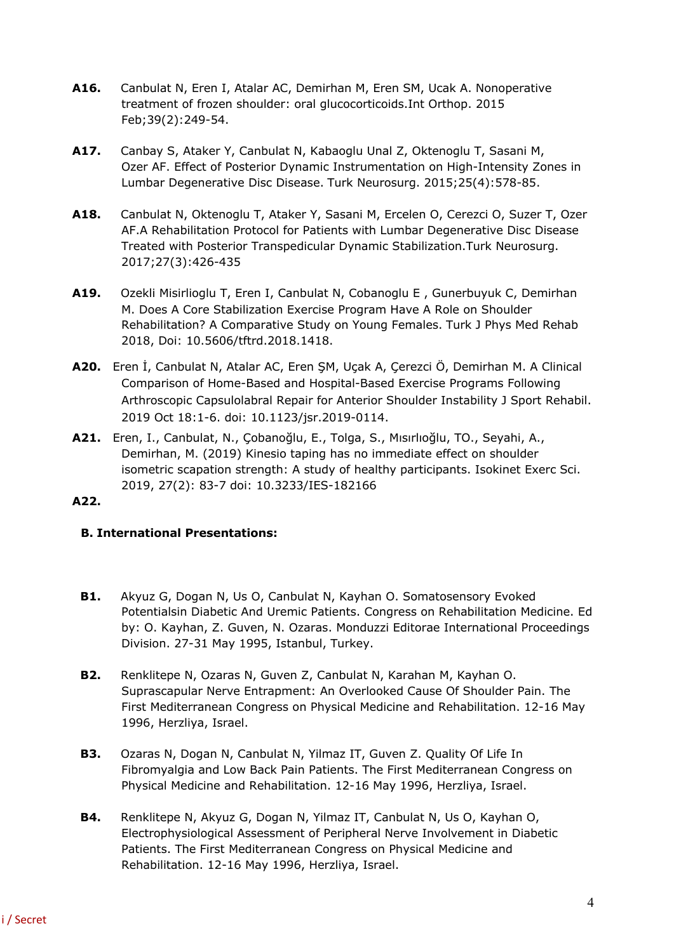- **A16.** Canbulat N, Eren I, Atalar AC, Demirhan M, Eren SM, Ucak A. Nonoperative treatment of frozen shoulder: oral glucocorticoids.Int Orthop. 2015 Feb;39(2):249-54.
- **A17.** Canbay S, Ataker Y, Canbulat N, Kabaoglu Unal Z, Oktenoglu T, Sasani M, Ozer AF. Effect of Posterior Dynamic Instrumentation on High-Intensity Zones in Lumbar Degenerative Disc Disease. Turk Neurosurg. 2015;25(4):578-85.
- **A18.** Canbulat N, Oktenoglu T, Ataker Y, Sasani M, Ercelen O, Cerezci O, Suzer T, Ozer AF.A Rehabilitation Protocol for Patients with Lumbar Degenerative Disc Disease Treated with Posterior Transpedicular Dynamic Stabilization.Turk Neurosurg. 2017;27(3):426-435
- **A19.** Ozekli Misirlioglu T, Eren I, Canbulat N, Cobanoglu E , Gunerbuyuk C, Demirhan M. Does A Core Stabilization Exercise Program Have A Role on Shoulder Rehabilitation? A Comparative Study on Young Females. Turk J Phys Med Rehab 2018, Doi: 10.5606/tftrd.2018.1418.
- **A20.** Eren İ, Canbulat N, Atalar AC, Eren ŞM, Uçak A, Çerezci Ö, Demirhan M. A Clinical Comparison of Home-Based and Hospital-Based Exercise Programs Following Arthroscopic Capsulolabral Repair for Anterior Shoulder Instability J Sport Rehabil. 2019 Oct 18:1-6. doi: 10.1123/jsr.2019-0114.
- **A21.** Eren, I., Canbulat, N., Çobanoğlu, E., Tolga, S., Mısırlıoğlu, TO., Seyahi, A., Demirhan, M. (2019) Kinesio taping has no immediate effect on shoulder isometric scapation strength: A study of healthy participants. Isokinet Exerc Sci. 2019, 27(2): 83-7 doi: 10.3233/IES-182166

## **A22.**

## **B. International Presentations:**

- **B1.** Akyuz G, Dogan N, Us O, Canbulat N, Kayhan O. Somatosensory Evoked Potentialsin Diabetic And Uremic Patients. Congress on Rehabilitation Medicine. Ed by: O. Kayhan, Z. Guven, N. Ozaras. Monduzzi Editorae International Proceedings Division. 27-31 May 1995, Istanbul, Turkey.
- **B2.** Renklitepe N, Ozaras N, Guven Z, Canbulat N, Karahan M, Kayhan O. Suprascapular Nerve Entrapment: An Overlooked Cause Of Shoulder Pain. The First Mediterranean Congress on Physical Medicine and Rehabilitation. 12-16 May 1996, Herzliya, Israel.
- **B3.** Ozaras N, Dogan N, Canbulat N, Yilmaz IT, Guven Z. Quality Of Life In Fibromyalgia and Low Back Pain Patients. The First Mediterranean Congress on Physical Medicine and Rehabilitation. 12-16 May 1996, Herzliya, Israel.
- **B4.** Renklitepe N, Akyuz G, Dogan N, Yilmaz IT, Canbulat N, Us O, Kayhan O, Electrophysiological Assessment of Peripheral Nerve Involvement in Diabetic Patients. The First Mediterranean Congress on Physical Medicine and Rehabilitation. 12-16 May 1996, Herzliya, Israel.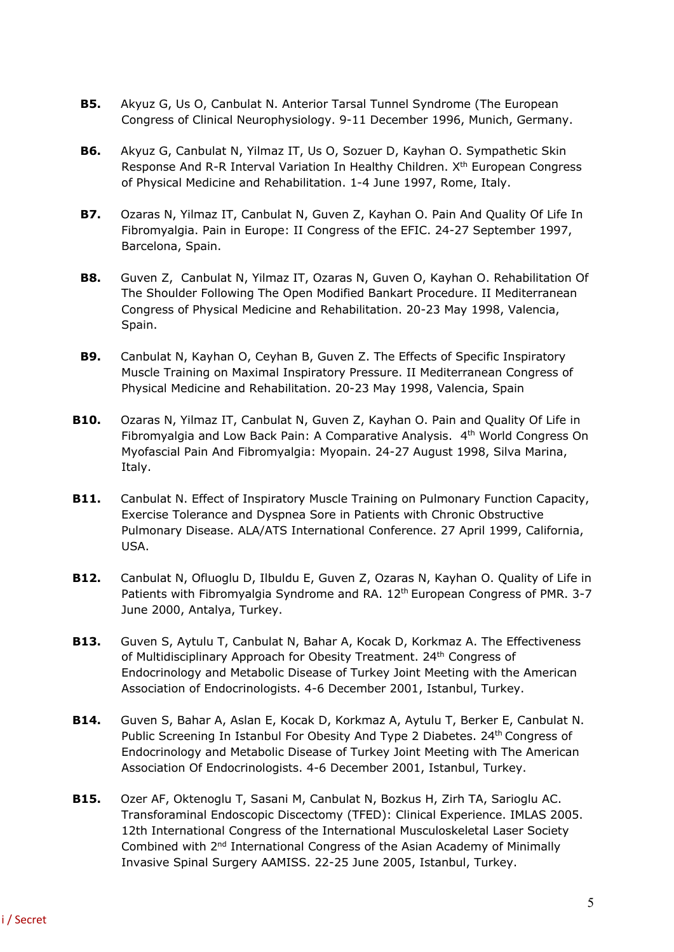- **B5.** Akyuz G, Us O, Canbulat N. Anterior Tarsal Tunnel Syndrome (The European Congress of Clinical Neurophysiology. 9-11 December 1996, Munich, Germany.
- **B6.** Akyuz G, Canbulat N, Yilmaz IT, Us O, Sozuer D, Kayhan O. Sympathetic Skin Response And R-R Interval Variation In Healthy Children. X<sup>th</sup> European Congress of Physical Medicine and Rehabilitation. 1-4 June 1997, Rome, Italy.
- **B7.** Ozaras N, Yilmaz IT, Canbulat N, Guven Z, Kayhan O. Pain And Quality Of Life In Fibromyalgia. Pain in Europe: II Congress of the EFIC. 24-27 September 1997, Barcelona, Spain.
- **B8.** Guven Z, Canbulat N, Yilmaz IT, Ozaras N, Guven O, Kayhan O. Rehabilitation Of The Shoulder Following The Open Modified Bankart Procedure. II Mediterranean Congress of Physical Medicine and Rehabilitation. 20-23 May 1998, Valencia, Spain.
- **B9.** Canbulat N, Kayhan O, Ceyhan B, Guven Z. The Effects of Specific Inspiratory Muscle Training on Maximal Inspiratory Pressure. II Mediterranean Congress of Physical Medicine and Rehabilitation. 20-23 May 1998, Valencia, Spain
- **B10.** Ozaras N, Yilmaz IT, Canbulat N, Guven Z, Kayhan O. Pain and Quality Of Life in Fibromyalgia and Low Back Pain: A Comparative Analysis. 4th World Congress On Myofascial Pain And Fibromyalgia: Myopain. 24-27 August 1998, Silva Marina, Italy.
- **B11.** Canbulat N. Effect of Inspiratory Muscle Training on Pulmonary Function Capacity, Exercise Tolerance and Dyspnea Sore in Patients with Chronic Obstructive Pulmonary Disease. ALA/ATS International Conference. 27 April 1999, California, USA.
- **B12.** Canbulat N, Ofluoglu D, Ilbuldu E, Guven Z, Ozaras N, Kayhan O. Quality of Life in Patients with Fibromyalgia Syndrome and RA. 12<sup>th</sup> European Congress of PMR. 3-7 June 2000, Antalya, Turkey.
- **B13.** Guven S, Aytulu T, Canbulat N, Bahar A, Kocak D, Korkmaz A. The Effectiveness of Multidisciplinary Approach for Obesity Treatment. 24<sup>th</sup> Congress of Endocrinology and Metabolic Disease of Turkey Joint Meeting with the American Association of Endocrinologists. 4-6 December 2001, Istanbul, Turkey.
- **B14.** Guven S, Bahar A, Aslan E, Kocak D, Korkmaz A, Aytulu T, Berker E, Canbulat N. Public Screening In Istanbul For Obesity And Type 2 Diabetes. 24<sup>th</sup> Congress of Endocrinology and Metabolic Disease of Turkey Joint Meeting with The American Association Of Endocrinologists. 4-6 December 2001, Istanbul, Turkey.
- **B15.** Ozer AF, Oktenoglu T, Sasani M, Canbulat N, Bozkus H, Zirh TA, Sarioglu AC. Transforaminal Endoscopic Discectomy (TFED): Clinical Experience. IMLAS 2005. 12th International Congress of the International Musculoskeletal Laser Society Combined with 2<sup>nd</sup> International Congress of the Asian Academy of Minimally Invasive Spinal Surgery AAMISS. 22-25 June 2005, Istanbul, Turkey.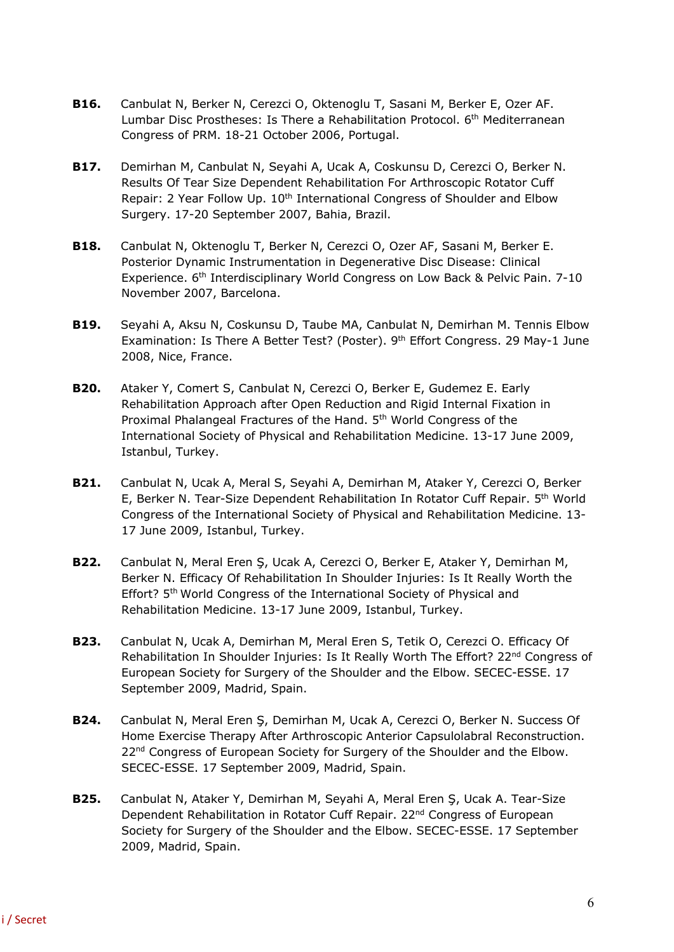- **B16.** Canbulat N, Berker N, Cerezci O, Oktenoglu T, Sasani M, Berker E, Ozer AF. Lumbar Disc Prostheses: Is There a Rehabilitation Protocol. 6<sup>th</sup> Mediterranean Congress of PRM. 18-21 October 2006, Portugal.
- **B17.** Demirhan M, Canbulat N, Seyahi A, Ucak A, Coskunsu D, Cerezci O, Berker N. Results Of Tear Size Dependent Rehabilitation For Arthroscopic Rotator Cuff Repair: 2 Year Follow Up. 10<sup>th</sup> International Congress of Shoulder and Elbow Surgery. 17-20 September 2007, Bahia, Brazil.
- **B18.** Canbulat N, Oktenoglu T, Berker N, Cerezci O, Ozer AF, Sasani M, Berker E. Posterior Dynamic Instrumentation in Degenerative Disc Disease: Clinical Experience. 6<sup>th</sup> Interdisciplinary World Congress on Low Back & Pelvic Pain. 7-10 November 2007, Barcelona.
- **B19.** Seyahi A, Aksu N, Coskunsu D, Taube MA, Canbulat N, Demirhan M. Tennis Elbow Examination: Is There A Better Test? (Poster). 9<sup>th</sup> Effort Congress. 29 May-1 June 2008, Nice, France.
- **B20.** Ataker Y, Comert S, Canbulat N, Cerezci O, Berker E, Gudemez E. Early Rehabilitation Approach after Open Reduction and Rigid Internal Fixation in Proximal Phalangeal Fractures of the Hand. 5<sup>th</sup> World Congress of the International Society of Physical and Rehabilitation Medicine. 13-17 June 2009, Istanbul, Turkey.
- **B21.** Canbulat N, Ucak A, Meral S, Seyahi A, Demirhan M, Ataker Y, Cerezci O, Berker E, Berker N. Tear-Size Dependent Rehabilitation In Rotator Cuff Repair. 5th World Congress of the International Society of Physical and Rehabilitation Medicine. 13- 17 June 2009, Istanbul, Turkey.
- **B22.** Canbulat N, Meral Eren Ş, Ucak A, Cerezci O, Berker E, Ataker Y, Demirhan M, Berker N. Efficacy Of Rehabilitation In Shoulder Injuries: Is It Really Worth the Effort? 5<sup>th</sup> World Congress of the International Society of Physical and Rehabilitation Medicine. 13-17 June 2009, Istanbul, Turkey.
- **B23.** Canbulat N, Ucak A, Demirhan M, Meral Eren S, Tetik O, Cerezci O. Efficacy Of Rehabilitation In Shoulder Injuries: Is It Really Worth The Effort? 22<sup>nd</sup> Congress of European Society for Surgery of the Shoulder and the Elbow. SECEC-ESSE. 17 September 2009, Madrid, Spain.
- **B24.** Canbulat N, Meral Eren Ş, Demirhan M, Ucak A, Cerezci O, Berker N. Success Of Home Exercise Therapy After Arthroscopic Anterior Capsulolabral Reconstruction. 22<sup>nd</sup> Congress of European Society for Surgery of the Shoulder and the Elbow. SECEC-ESSE. 17 September 2009, Madrid, Spain.
- **B25.** Canbulat N, Ataker Y, Demirhan M, Seyahi A, Meral Eren Ş, Ucak A. Tear-Size Dependent Rehabilitation in Rotator Cuff Repair. 22<sup>nd</sup> Congress of European Society for Surgery of the Shoulder and the Elbow. SECEC-ESSE. 17 September 2009, Madrid, Spain.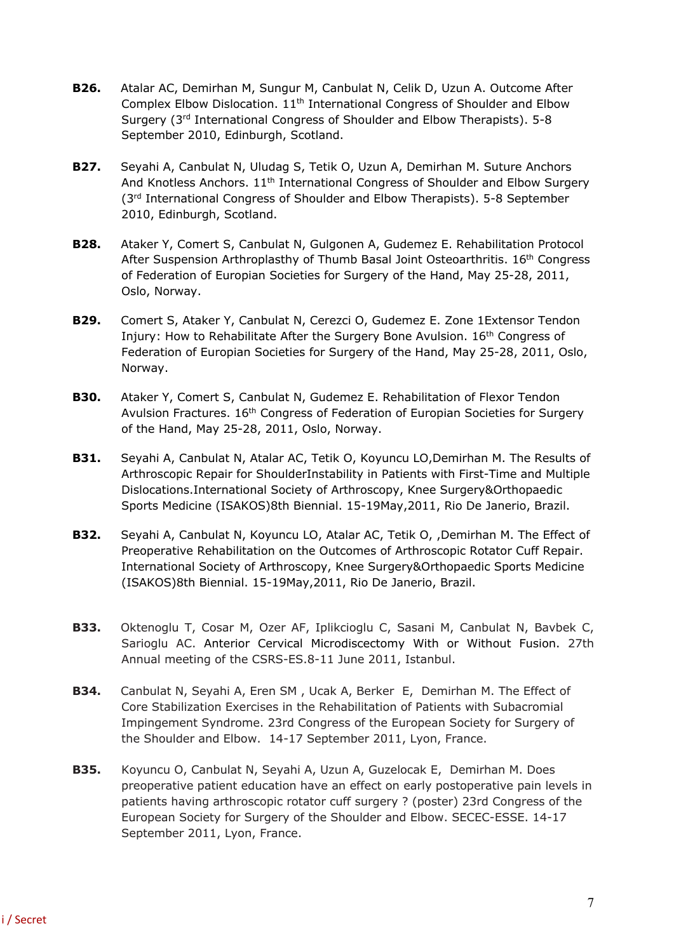- **B26.** Atalar AC, Demirhan M, Sungur M, Canbulat N, Celik D, Uzun A. Outcome After Complex Elbow Dislocation. 11th International Congress of Shoulder and Elbow Surgery (3rd International Congress of Shoulder and Elbow Therapists). 5-8 September 2010, Edinburgh, Scotland.
- **B27.** Seyahi A, Canbulat N, Uludag S, Tetik O, Uzun A, Demirhan M. Suture Anchors And Knotless Anchors. 11th International Congress of Shoulder and Elbow Surgery (3<sup>rd</sup> International Congress of Shoulder and Elbow Therapists). 5-8 September 2010, Edinburgh, Scotland.
- **B28.** Ataker Y, Comert S, Canbulat N, Gulgonen A, Gudemez E. Rehabilitation Protocol After Suspension Arthroplasthy of Thumb Basal Joint Osteoarthritis. 16<sup>th</sup> Congress of Federation of Europian Societies for Surgery of the Hand, May 25-28, 2011, Oslo, Norway.
- **B29.** Comert S, Ataker Y, Canbulat N, Cerezci O, Gudemez E. Zone 1Extensor Tendon Injury: How to Rehabilitate After the Surgery Bone Avulsion. 16<sup>th</sup> Congress of Federation of Europian Societies for Surgery of the Hand, May 25-28, 2011, Oslo, Norway.
- **B30.** Ataker Y, Comert S, Canbulat N, Gudemez E. Rehabilitation of Flexor Tendon Avulsion Fractures. 16<sup>th</sup> Congress of Federation of Europian Societies for Surgery of the Hand, May 25-28, 2011, Oslo, Norway.
- **B31.** Seyahi A, Canbulat N, Atalar AC, Tetik O, Koyuncu LO,Demirhan M. The Results of Arthroscopic Repair for ShoulderInstability in Patients with First-Time and Multiple Dislocations.International Society of Arthroscopy, Knee Surgery&Orthopaedic Sports Medicine (ISAKOS)8th Biennial. 15-19May,2011, Rio De Janerio, Brazil.
- **B32.** Seyahi A, Canbulat N, Koyuncu LO, Atalar AC, Tetik O, ,Demirhan M. The Effect of Preoperative Rehabilitation on the Outcomes of Arthroscopic Rotator Cuff Repair. International Society of Arthroscopy, Knee Surgery&Orthopaedic Sports Medicine (ISAKOS)8th Biennial. 15-19May,2011, Rio De Janerio, Brazil.
- **B33.** Oktenoglu T, Cosar M, Ozer AF, Iplikcioglu C, Sasani M, Canbulat N, Bavbek C, Sarioglu AC. Anterior Cervical Microdiscectomy With or Without Fusion. 27th Annual meeting of the CSRS-ES.8-11 June 2011, Istanbul.
- **B34.** Canbulat N, Seyahi A, Eren SM , Ucak A, Berker E, Demirhan M. The Effect of Core Stabilization Exercises in the Rehabilitation of Patients with Subacromial Impingement Syndrome. 23rd Congress of the European Society for Surgery of the Shoulder and Elbow. 14-17 September 2011, Lyon, France.
- **B35.** Koyuncu O, Canbulat N, Seyahi A, Uzun A, Guzelocak E, Demirhan M. Does preoperative patient education have an effect on early postoperative pain levels in patients having arthroscopic rotator cuff surgery ? (poster) 23rd Congress of the European Society for Surgery of the Shoulder and Elbow. SECEC-ESSE. 14-17 September 2011, Lyon, France.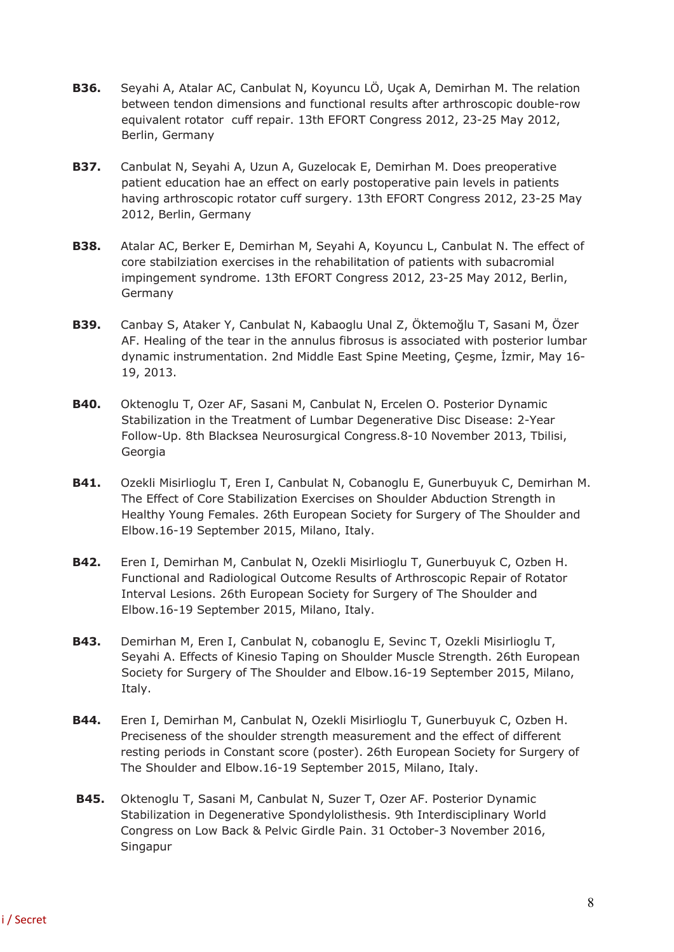- **B36.** Seyahi A, Atalar AC, Canbulat N, Koyuncu LÖ, Uçak A, Demirhan M. The relation between tendon dimensions and functional results after arthroscopic double-row equivalent rotator cuff repair. 13th EFORT Congress 2012, 23-25 May 2012, Berlin, Germany
- **B37.** Canbulat N, Seyahi A, Uzun A, Guzelocak E, Demirhan M. Does preoperative patient education hae an effect on early postoperative pain levels in patients having arthroscopic rotator cuff surgery. 13th EFORT Congress 2012, 23-25 May 2012, Berlin, Germany
- **B38.** Atalar AC, Berker E, Demirhan M, Seyahi A, Koyuncu L, Canbulat N. The effect of core stabilziation exercises in the rehabilitation of patients with subacromial impingement syndrome. 13th EFORT Congress 2012, 23-25 May 2012, Berlin, Germany
- **B39.** Canbay S, Ataker Y, Canbulat N, Kabaoglu Unal Z, Öktemoğlu T, Sasani M, Özer AF. Healing of the tear in the annulus fibrosus is associated with posterior lumbar dynamic instrumentation. 2nd Middle East Spine Meeting, Çeşme, İzmir, May 16- 19, 2013.
- **B40.** Oktenoglu T, Ozer AF, Sasani M, Canbulat N, Ercelen O. Posterior Dynamic Stabilization in the Treatment of Lumbar Degenerative Disc Disease: 2-Year Follow-Up. 8th Blacksea Neurosurgical Congress.8-10 November 2013, Tbilisi, Georgia
- **B41.** Ozekli Misirlioglu T, Eren I, Canbulat N, Cobanoglu E, Gunerbuyuk C, Demirhan M. The Effect of Core Stabilization Exercises on Shoulder Abduction Strength in Healthy Young Females. 26th European Society for Surgery of The Shoulder and Elbow.16-19 September 2015, Milano, Italy.
- **B42.** Eren I, Demirhan M, Canbulat N, Ozekli Misirlioglu T, Gunerbuyuk C, Ozben H. Functional and Radiological Outcome Results of Arthroscopic Repair of Rotator Interval Lesions. 26th European Society for Surgery of The Shoulder and Elbow.16-19 September 2015, Milano, Italy.
- **B43.** Demirhan M, Eren I, Canbulat N, cobanoglu E, Sevinc T, Ozekli Misirlioglu T, Seyahi A. Effects of Kinesio Taping on Shoulder Muscle Strength. 26th European Society for Surgery of The Shoulder and Elbow.16-19 September 2015, Milano, Italy.
- **B44.** Eren I, Demirhan M, Canbulat N, Ozekli Misirlioglu T, Gunerbuyuk C, Ozben H. Preciseness of the shoulder strength measurement and the effect of different resting periods in Constant score (poster). 26th European Society for Surgery of The Shoulder and Elbow.16-19 September 2015, Milano, Italy.
- **B45.** Oktenoglu T, Sasani M, Canbulat N, Suzer T, Ozer AF. Posterior Dynamic Stabilization in Degenerative Spondylolisthesis. 9th Interdisciplinary World Congress on Low Back & Pelvic Girdle Pain. 31 October-3 November 2016, Singapur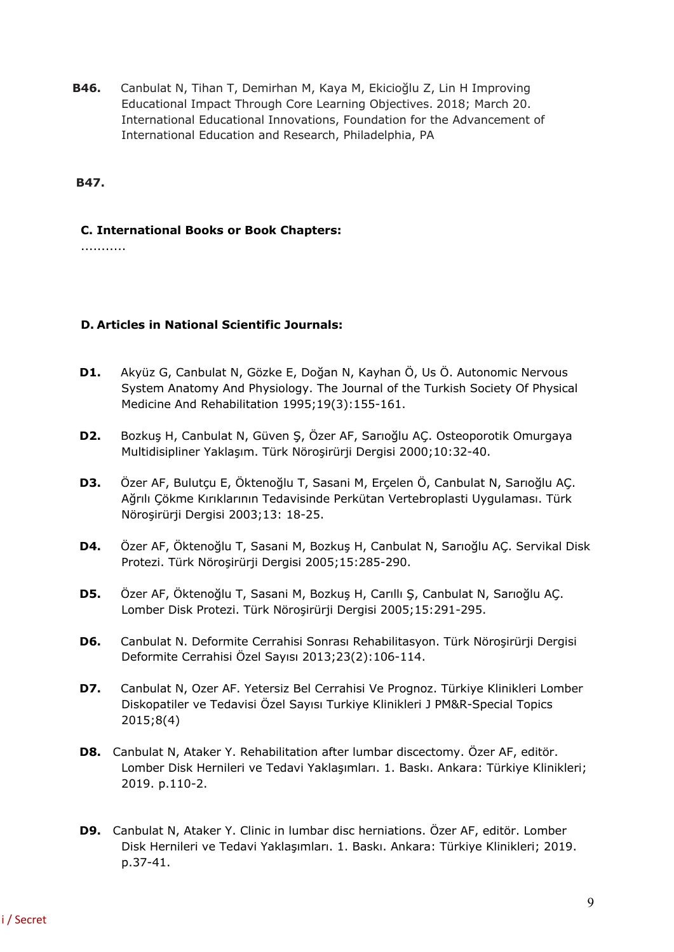**B46.** Canbulat N, Tihan T, Demirhan M, Kaya M, Ekicioğlu Z, Lin H Improving Educational Impact Through Core Learning Objectives. 2018; March 20. International Educational Innovations, Foundation for the Advancement of International Education and Research, Philadelphia, PA

**B47.**

#### **C. International Books or Book Chapters:**

...........

## **D. Articles in National Scientific Journals:**

- **D1.** Akyüz G, Canbulat N, Gözke E, Doğan N, Kayhan Ö, Us Ö. Autonomic Nervous System Anatomy And Physiology. The Journal of the Turkish Society Of Physical Medicine And Rehabilitation 1995;19(3):155-161.
- **D2.** Bozkuş H, Canbulat N, Güven Ş, Özer AF, Sarıoğlu AÇ. Osteoporotik Omurgaya Multidisipliner Yaklaşım. Türk Nöroşirürji Dergisi 2000;10:32-40.
- **D3.** Özer AF, Bulutçu E, Öktenoğlu T, Sasani M, Erçelen Ö, Canbulat N, Sarıoğlu AÇ. Ağrılı Çökme Kırıklarının Tedavisinde Perkütan Vertebroplasti Uygulaması. Türk Nöroşirürji Dergisi 2003;13: 18-25.
- **D4.** Özer AF, Öktenoğlu T, Sasani M, Bozkuş H, Canbulat N, Sarıoğlu AÇ. Servikal Disk Protezi. Türk Nöroşirürji Dergisi 2005;15:285-290.
- **D5.** Özer AF, Öktenoğlu T, Sasani M, Bozkuş H, Carıllı Ş, Canbulat N, Sarıoğlu AÇ. Lomber Disk Protezi. Türk Nöroşirürji Dergisi 2005;15:291-295.
- **D6.** Canbulat N. Deformite Cerrahisi Sonrası Rehabilitasyon. Türk Nöroşirürji Dergisi Deformite Cerrahisi Özel Sayısı 2013;23(2):106-114.
- **D7.** Canbulat N, Ozer AF. Yetersiz Bel Cerrahisi Ve Prognoz. Türkiye Klinikleri Lomber Diskopatiler ve Tedavisi Özel Sayısı Turkiye Klinikleri J PM&R-Special Topics 2015;8(4)
- **D8.** Canbulat N, Ataker Y. Rehabilitation after lumbar discectomy. Özer AF, editör. Lomber Disk Hernileri ve Tedavi Yaklaşımları. 1. Baskı. Ankara: Türkiye Klinikleri; 2019. p.110-2.
- **D9.** Canbulat N, Ataker Y. Clinic in lumbar disc herniations. Özer AF, editör. Lomber Disk Hernileri ve Tedavi Yaklaşımları. 1. Baskı. Ankara: Türkiye Klinikleri; 2019. p.37-41.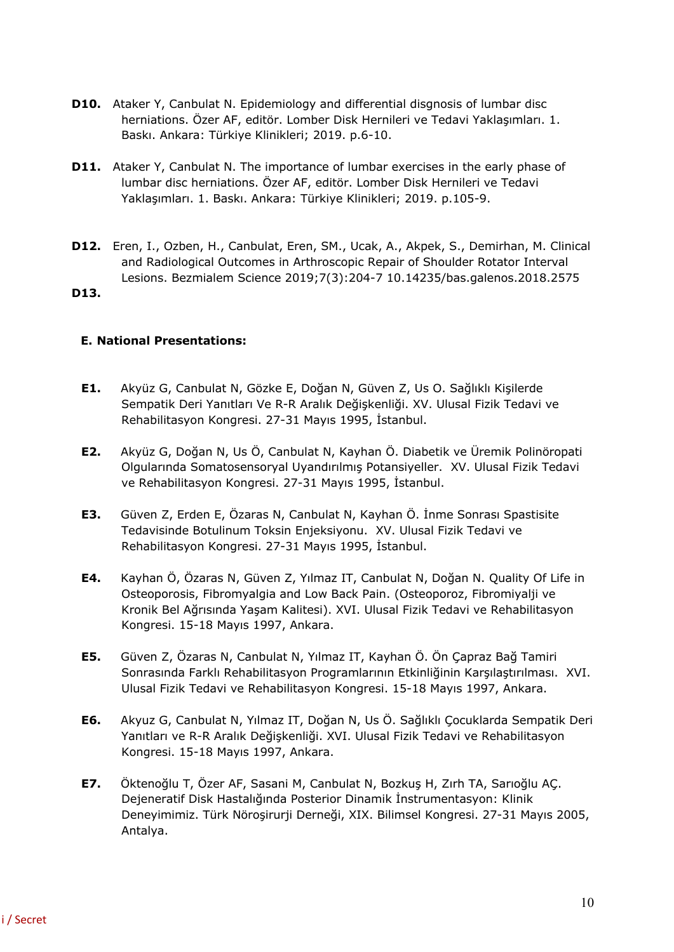- **D10.** Ataker Y, Canbulat N. Epidemiology and differential disgnosis of lumbar disc herniations. Özer AF, editör. Lomber Disk Hernileri ve Tedavi Yaklaşımları. 1. Baskı. Ankara: Türkiye Klinikleri; 2019. p.6-10.
- **D11.** Ataker Y, Canbulat N. The importance of lumbar exercises in the early phase of lumbar disc herniations. Özer AF, editör. Lomber Disk Hernileri ve Tedavi Yaklaşımları. 1. Baskı. Ankara: Türkiye Klinikleri; 2019. p.105-9.
- **D12.** Eren, I., Ozben, H., Canbulat, Eren, SM., Ucak, A., Akpek, S., Demirhan, M. Clinical and Radiological Outcomes in Arthroscopic Repair of Shoulder Rotator Interval Lesions. Bezmialem Science 2019;7(3):204-7 10.14235/bas.galenos.2018.2575
- **D13.**

## **E. National Presentations:**

- **E1.** Akyüz G, Canbulat N, Gözke E, Doğan N, Güven Z, Us O. Sağlıklı Kişilerde Sempatik Deri Yanıtları Ve R-R Aralık Değişkenliği. XV. Ulusal Fizik Tedavi ve Rehabilitasyon Kongresi. 27-31 Mayıs 1995, İstanbul.
- **E2.** Akyüz G, Doğan N, Us Ö, Canbulat N, Kayhan Ö. Diabetik ve Üremik Polinöropati Olgularında Somatosensoryal Uyandırılmış Potansiyeller. XV. Ulusal Fizik Tedavi ve Rehabilitasyon Kongresi. 27-31 Mayıs 1995, İstanbul.
- **E3.** Güven Z, Erden E, Özaras N, Canbulat N, Kayhan Ö. İnme Sonrası Spastisite Tedavisinde Botulinum Toksin Enjeksiyonu. XV. Ulusal Fizik Tedavi ve Rehabilitasyon Kongresi. 27-31 Mayıs 1995, İstanbul.
- **E4.** Kayhan Ö, Özaras N, Güven Z, Yılmaz IT, Canbulat N, Doğan N. Quality Of Life in Osteoporosis, Fibromyalgia and Low Back Pain. (Osteoporoz, Fibromiyalji ve Kronik Bel Ağrısında Yaşam Kalitesi). XVI. Ulusal Fizik Tedavi ve Rehabilitasyon Kongresi. 15-18 Mayıs 1997, Ankara.
- **E5.** Güven Z, Özaras N, Canbulat N, Yılmaz IT, Kayhan Ö. Ön Çapraz Bağ Tamiri Sonrasında Farklı Rehabilitasyon Programlarının Etkinliğinin Karşılaştırılması. XVI. Ulusal Fizik Tedavi ve Rehabilitasyon Kongresi. 15-18 Mayıs 1997, Ankara.
- **E6.** Akyuz G, Canbulat N, Yılmaz IT, Doğan N, Us Ö. Sağlıklı Çocuklarda Sempatik Deri Yanıtları ve R-R Aralık Değişkenliği. XVI. Ulusal Fizik Tedavi ve Rehabilitasyon Kongresi. 15-18 Mayıs 1997, Ankara.
- **E7.** Öktenoğlu T, Özer AF, Sasani M, Canbulat N, Bozkuş H, Zırh TA, Sarıoğlu AÇ. Dejeneratif Disk Hastalığında Posterior Dinamik İnstrumentasyon: Klinik Deneyimimiz. Türk Nöroşirurji Derneği, XIX. Bilimsel Kongresi. 27-31 Mayıs 2005, Antalya.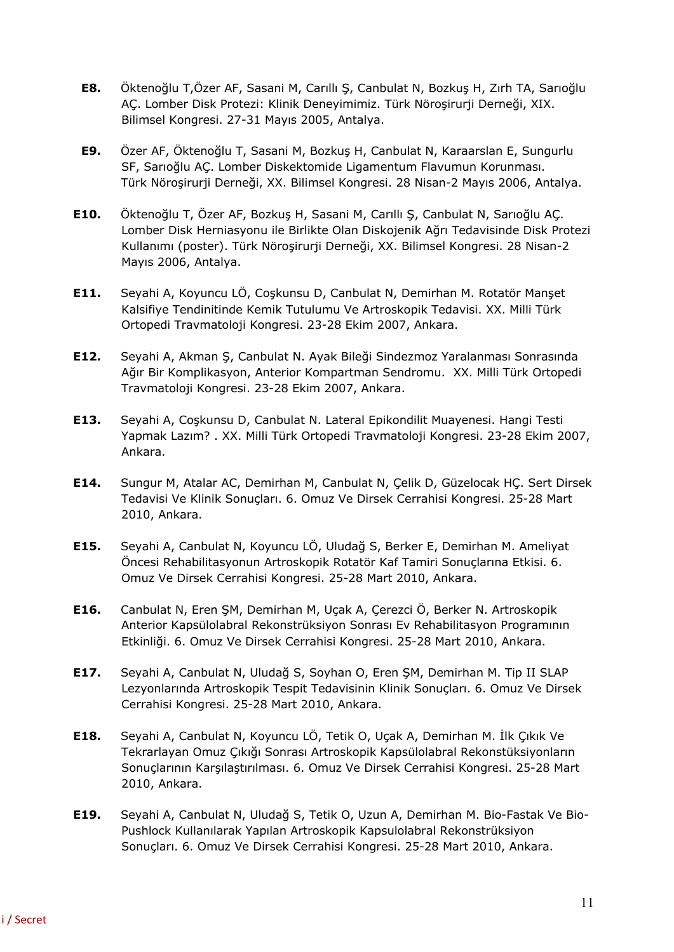- **E8.** Öktenoğlu T,Özer AF, Sasani M, Carıllı Ş, Canbulat N, Bozkuş H, Zırh TA, Sarıoğlu AÇ. Lomber Disk Protezi: Klinik Deneyimimiz. Türk Nöroşirurji Derneği, XIX. Bilimsel Kongresi. 27-31 Mayıs 2005, Antalya.
- **E9.** Özer AF, Öktenoğlu T, Sasani M, Bozkuş H, Canbulat N, Karaarslan E, Sungurlu SF, Sarıoğlu AÇ. Lomber Diskektomide Ligamentum Flavumun Korunması. Türk Nöroşirurji Derneği, XX. Bilimsel Kongresi. 28 Nisan-2 Mayıs 2006, Antalya.
- **E10.** Öktenoğlu T, Özer AF, Bozkuş H, Sasani M, Carıllı Ş, Canbulat N, Sarıoğlu AÇ. Lomber Disk Herniasyonu ile Birlikte Olan Diskojenik Ağrı Tedavisinde Disk Protezi Kullanımı (poster). Türk Nöroşirurji Derneği, XX. Bilimsel Kongresi. 28 Nisan-2 Mayıs 2006, Antalya.
- **E11.** Seyahi A, Koyuncu LÖ, Coşkunsu D, Canbulat N, Demirhan M. Rotatör Manşet Kalsifiye Tendinitinde Kemik Tutulumu Ve Artroskopik Tedavisi. XX. Milli Türk Ortopedi Travmatoloji Kongresi. 23-28 Ekim 2007, Ankara.
- **E12.** Seyahi A, Akman Ş, Canbulat N. Ayak Bileği Sindezmoz Yaralanması Sonrasında Ağır Bir Komplikasyon, Anterior Kompartman Sendromu. XX. Milli Türk Ortopedi Travmatoloji Kongresi. 23-28 Ekim 2007, Ankara.
- **E13.** Seyahi A, Coşkunsu D, Canbulat N. Lateral Epikondilit Muayenesi. Hangi Testi Yapmak Lazım? . XX. Milli Türk Ortopedi Travmatoloji Kongresi. 23-28 Ekim 2007, Ankara.
- **E14.** Sungur M, Atalar AC, Demirhan M, Canbulat N, Çelik D, Güzelocak HÇ. Sert Dirsek Tedavisi Ve Klinik Sonuçları. 6. Omuz Ve Dirsek Cerrahisi Kongresi. 25-28 Mart 2010, Ankara.
- **E15.** Seyahi A, Canbulat N, Koyuncu LÖ, Uludağ S, Berker E, Demirhan M. Ameliyat Öncesi Rehabilitasyonun Artroskopik Rotatör Kaf Tamiri Sonuçlarına Etkisi. 6. Omuz Ve Dirsek Cerrahisi Kongresi. 25-28 Mart 2010, Ankara.
- **E16.** Canbulat N, Eren ŞM, Demirhan M, Uçak A, Çerezci Ö, Berker N. Artroskopik Anterior Kapsülolabral Rekonstrüksiyon Sonrası Ev Rehabilitasyon Programının Etkinliği. 6. Omuz Ve Dirsek Cerrahisi Kongresi. 25-28 Mart 2010, Ankara.
- **E17.** Seyahi A, Canbulat N, Uludağ S, Soyhan O, Eren ŞM, Demirhan M. Tip II SLAP Lezyonlarında Artroskopik Tespit Tedavisinin Klinik Sonuçları. 6. Omuz Ve Dirsek Cerrahisi Kongresi. 25-28 Mart 2010, Ankara.
- **E18.** Seyahi A, Canbulat N, Koyuncu LÖ, Tetik O, Uçak A, Demirhan M. İlk Çıkık Ve Tekrarlayan Omuz Çıkığı Sonrası Artroskopik Kapsülolabral Rekonstüksiyonların Sonuçlarının Karşılaştırılması. 6. Omuz Ve Dirsek Cerrahisi Kongresi. 25-28 Mart 2010, Ankara.
- **E19.** Seyahi A, Canbulat N, Uludağ S, Tetik O, Uzun A, Demirhan M. Bio-Fastak Ve Bio-Pushlock Kullanılarak Yapılan Artroskopik Kapsulolabral Rekonstrüksiyon Sonuçları. 6. Omuz Ve Dirsek Cerrahisi Kongresi. 25-28 Mart 2010, Ankara.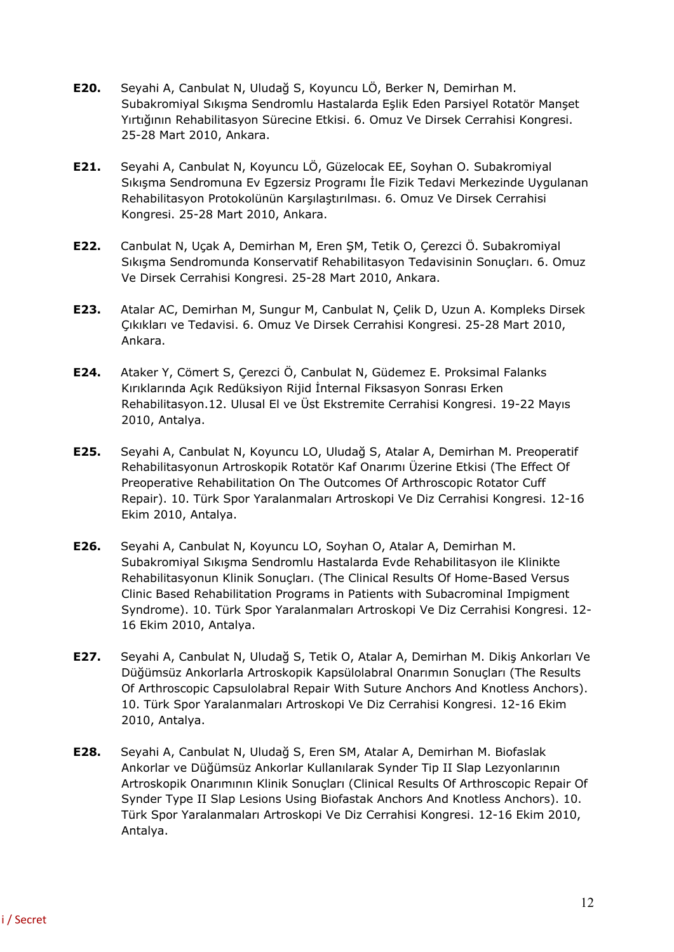- **E20.** Seyahi A, Canbulat N, Uludağ S, Koyuncu LÖ, Berker N, Demirhan M. Subakromiyal Sıkışma Sendromlu Hastalarda Eşlik Eden Parsiyel Rotatör Manşet Yırtığının Rehabilitasyon Sürecine Etkisi. 6. Omuz Ve Dirsek Cerrahisi Kongresi. 25-28 Mart 2010, Ankara.
- **E21.** Seyahi A, Canbulat N, Koyuncu LÖ, Güzelocak EE, Soyhan O. Subakromiyal Sıkışma Sendromuna Ev Egzersiz Programı İle Fizik Tedavi Merkezinde Uygulanan Rehabilitasyon Protokolünün Karşılaştırılması. 6. Omuz Ve Dirsek Cerrahisi Kongresi. 25-28 Mart 2010, Ankara.
- **E22.** Canbulat N, Uçak A, Demirhan M, Eren ŞM, Tetik O, Çerezci Ö. Subakromiyal Sıkışma Sendromunda Konservatif Rehabilitasyon Tedavisinin Sonuçları. 6. Omuz Ve Dirsek Cerrahisi Kongresi. 25-28 Mart 2010, Ankara.
- **E23.** Atalar AC, Demirhan M, Sungur M, Canbulat N, Çelik D, Uzun A. Kompleks Dirsek Çıkıkları ve Tedavisi. 6. Omuz Ve Dirsek Cerrahisi Kongresi. 25-28 Mart 2010, Ankara.
- **E24.** Ataker Y, Cömert S, Çerezci Ö, Canbulat N, Güdemez E. Proksimal Falanks Kırıklarında Açık Redüksiyon Rijid İnternal Fiksasyon Sonrası Erken Rehabilitasyon.12. Ulusal El ve Üst Ekstremite Cerrahisi Kongresi. 19-22 Mayıs 2010, Antalya.
- **E25.** Seyahi A, Canbulat N, Koyuncu LO, Uludağ S, Atalar A, Demirhan M. Preoperatif Rehabilitasyonun Artroskopik Rotatör Kaf Onarımı Üzerine Etkisi (The Effect Of Preoperative Rehabilitation On The Outcomes Of Arthroscopic Rotator Cuff Repair). 10. Türk Spor Yaralanmaları Artroskopi Ve Diz Cerrahisi Kongresi. 12-16 Ekim 2010, Antalya.
- **E26.** Seyahi A, Canbulat N, Koyuncu LO, Soyhan O, Atalar A, Demirhan M. Subakromiyal Sıkışma Sendromlu Hastalarda Evde Rehabilitasyon ile Klinikte Rehabilitasyonun Klinik Sonuçları. (The Clinical Results Of Home-Based Versus Clinic Based Rehabilitation Programs in Patients with Subacrominal Impigment Syndrome). 10. Türk Spor Yaralanmaları Artroskopi Ve Diz Cerrahisi Kongresi. 12- 16 Ekim 2010, Antalya.
- **E27.** Seyahi A, Canbulat N, Uludağ S, Tetik O, Atalar A, Demirhan M. Dikiş Ankorları Ve Düğümsüz Ankorlarla Artroskopik Kapsülolabral Onarımın Sonuçları (The Results Of Arthroscopic Capsulolabral Repair With Suture Anchors And Knotless Anchors). 10. Türk Spor Yaralanmaları Artroskopi Ve Diz Cerrahisi Kongresi. 12-16 Ekim 2010, Antalya.
- **E28.** Seyahi A, Canbulat N, Uludağ S, Eren SM, Atalar A, Demirhan M. Biofaslak Ankorlar ve Düğümsüz Ankorlar Kullanılarak Synder Tip II Slap Lezyonlarının Artroskopik Onarımının Klinik Sonuçları (Clinical Results Of Arthroscopic Repair Of Synder Type II Slap Lesions Using Biofastak Anchors And Knotless Anchors). 10. Türk Spor Yaralanmaları Artroskopi Ve Diz Cerrahisi Kongresi. 12-16 Ekim 2010, Antalya.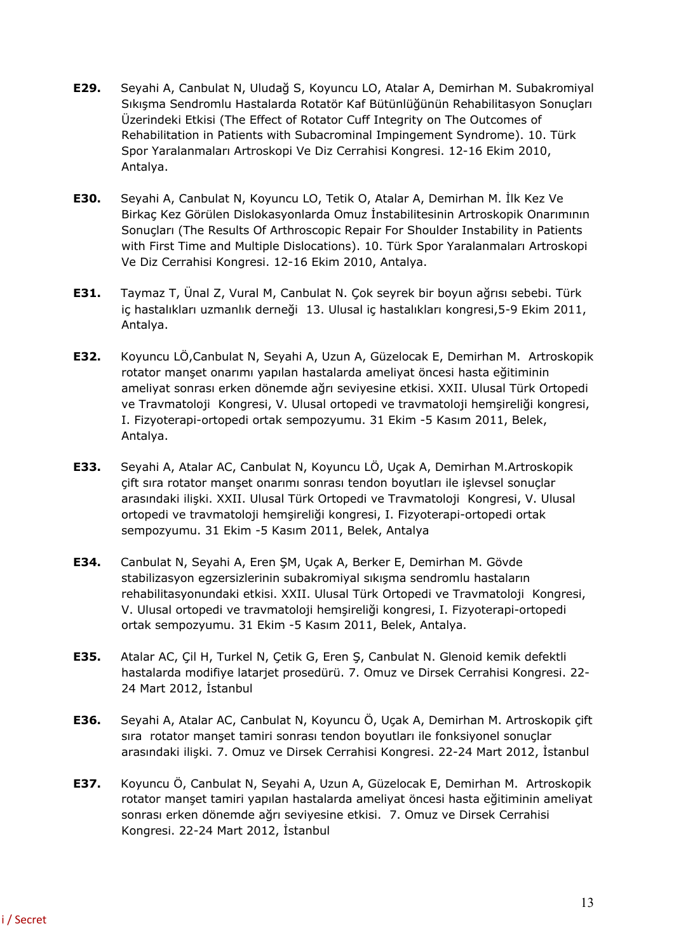- **E29.** Seyahi A, Canbulat N, Uludağ S, Koyuncu LO, Atalar A, Demirhan M. Subakromiyal Sıkışma Sendromlu Hastalarda Rotatör Kaf Bütünlüğünün Rehabilitasyon Sonuçları Üzerindeki Etkisi (The Effect of Rotator Cuff Integrity on The Outcomes of Rehabilitation in Patients with Subacrominal Impingement Syndrome). 10. Türk Spor Yaralanmaları Artroskopi Ve Diz Cerrahisi Kongresi. 12-16 Ekim 2010, Antalya.
- **E30.** Seyahi A, Canbulat N, Koyuncu LO, Tetik O, Atalar A, Demirhan M. İlk Kez Ve Birkaç Kez Görülen Dislokasyonlarda Omuz İnstabilitesinin Artroskopik Onarımının Sonuçları (The Results Of Arthroscopic Repair For Shoulder Instability in Patients with First Time and Multiple Dislocations). 10. Türk Spor Yaralanmaları Artroskopi Ve Diz Cerrahisi Kongresi. 12-16 Ekim 2010, Antalya.
- **E31.** Taymaz T, Ünal Z, Vural M, Canbulat N. Çok seyrek bir boyun ağrısı sebebi. Türk iç hastalıkları uzmanlık derneği 13. Ulusal iç hastalıkları kongresi,5-9 Ekim 2011, Antalya.
- **E32.** Koyuncu LÖ,Canbulat N, Seyahi A, Uzun A, Güzelocak E, Demirhan M. Artroskopik rotator manşet onarımı yapılan hastalarda ameliyat öncesi hasta eğitiminin ameliyat sonrası erken dönemde ağrı seviyesine etkisi. XXII. Ulusal Türk Ortopedi ve Travmatoloji Kongresi, V. Ulusal ortopedi ve travmatoloji hemşireliği kongresi, I. Fizyoterapi-ortopedi ortak sempozyumu. 31 Ekim -5 Kasım 2011, Belek, Antalya.
- **E33.** Seyahi A, Atalar AC, Canbulat N, Koyuncu LÖ, Uçak A, Demirhan M.Artroskopik çift sıra rotator manşet onarımı sonrası tendon boyutları ile işlevsel sonuçlar arasındaki ilişki. XXII. Ulusal Türk Ortopedi ve Travmatoloji Kongresi, V. Ulusal ortopedi ve travmatoloji hemşireliği kongresi, I. Fizyoterapi-ortopedi ortak sempozyumu. 31 Ekim -5 Kasım 2011, Belek, Antalya
- **E34.** Canbulat N, Seyahi A, Eren ŞM, Uçak A, Berker E, Demirhan M. Gövde stabilizasyon egzersizlerinin subakromiyal sıkışma sendromlu hastaların rehabilitasyonundaki etkisi. XXII. Ulusal Türk Ortopedi ve Travmatoloji Kongresi, V. Ulusal ortopedi ve travmatoloji hemşireliği kongresi, I. Fizyoterapi-ortopedi ortak sempozyumu. 31 Ekim -5 Kasım 2011, Belek, Antalya.
- **E35.** Atalar AC, Çil H, Turkel N, Çetik G, Eren Ş, Canbulat N. Glenoid kemik defektli hastalarda modifiye latarjet prosedürü. 7. Omuz ve Dirsek Cerrahisi Kongresi. 22- 24 Mart 2012, İstanbul
- **E36.** Seyahi A, Atalar AC, Canbulat N, Koyuncu Ö, Uçak A, Demirhan M. Artroskopik çift sıra rotator manşet tamiri sonrası tendon boyutları ile fonksiyonel sonuçlar arasındaki ilişki. 7. Omuz ve Dirsek Cerrahisi Kongresi. 22-24 Mart 2012, İstanbul
- **E37.** Koyuncu Ö, Canbulat N, Seyahi A, Uzun A, Güzelocak E, Demirhan M. Artroskopik rotator manşet tamiri yapılan hastalarda ameliyat öncesi hasta eğitiminin ameliyat sonrası erken dönemde ağrı seviyesine etkisi. 7. Omuz ve Dirsek Cerrahisi Kongresi. 22-24 Mart 2012, İstanbul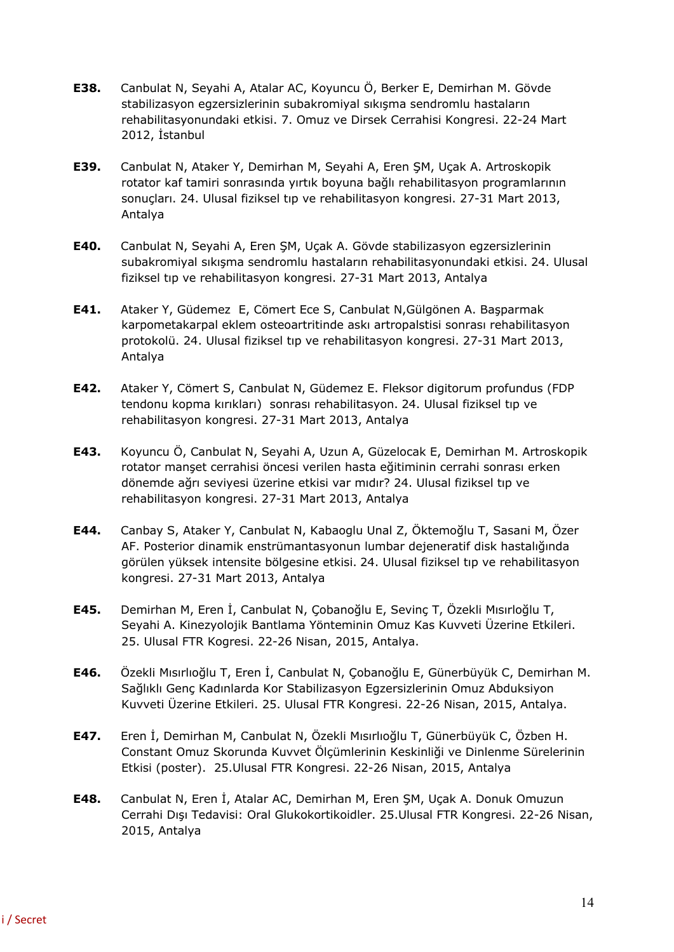- **E38.** Canbulat N, Seyahi A, Atalar AC, Koyuncu Ö, Berker E, Demirhan M. Gövde stabilizasyon egzersizlerinin subakromiyal sıkışma sendromlu hastaların rehabilitasyonundaki etkisi. 7. Omuz ve Dirsek Cerrahisi Kongresi. 22-24 Mart 2012, İstanbul
- **E39.** Canbulat N, Ataker Y, Demirhan M, Seyahi A, Eren ŞM, Uçak A. Artroskopik rotator kaf tamiri sonrasında yırtık boyuna bağlı rehabilitasyon programlarının sonuçları. 24. Ulusal fiziksel tıp ve rehabilitasyon kongresi. 27-31 Mart 2013, Antalya
- **E40.** Canbulat N, Seyahi A, Eren ŞM, Uçak A. Gövde stabilizasyon egzersizlerinin subakromiyal sıkışma sendromlu hastaların rehabilitasyonundaki etkisi. 24. Ulusal fiziksel tıp ve rehabilitasyon kongresi. 27-31 Mart 2013, Antalya
- **E41.** Ataker Y, Güdemez E, Cömert Ece S, Canbulat N,Gülgönen A. Başparmak karpometakarpal eklem osteoartritinde askı artropalstisi sonrası rehabilitasyon protokolü. 24. Ulusal fiziksel tıp ve rehabilitasyon kongresi. 27-31 Mart 2013, Antalya
- **E42.** Ataker Y, Cömert S, Canbulat N, Güdemez E. Fleksor digitorum profundus (FDP tendonu kopma kırıkları) sonrası rehabilitasyon. 24. Ulusal fiziksel tıp ve rehabilitasyon kongresi. 27-31 Mart 2013, Antalya
- **E43.** Koyuncu Ö, Canbulat N, Seyahi A, Uzun A, Güzelocak E, Demirhan M. Artroskopik rotator manşet cerrahisi öncesi verilen hasta eğitiminin cerrahi sonrası erken dönemde ağrı seviyesi üzerine etkisi var mıdır? 24. Ulusal fiziksel tıp ve rehabilitasyon kongresi. 27-31 Mart 2013, Antalya
- **E44.** Canbay S, Ataker Y, Canbulat N, Kabaoglu Unal Z, Öktemoğlu T, Sasani M, Özer AF. Posterior dinamik enstrümantasyonun lumbar dejeneratif disk hastalığında görülen yüksek intensite bölgesine etkisi. 24. Ulusal fiziksel tıp ve rehabilitasyon kongresi. 27-31 Mart 2013, Antalya
- **E45.** Demirhan M, Eren İ, Canbulat N, Çobanoğlu E, Sevinç T, Özekli Mısırloğlu T, Seyahi A. Kinezyolojik Bantlama Yönteminin Omuz Kas Kuvveti Üzerine Etkileri. 25. Ulusal FTR Kogresi. 22-26 Nisan, 2015, Antalya.
- **E46.** Özekli Mısırlıoğlu T, Eren İ, Canbulat N, Çobanoğlu E, Günerbüyük C, Demirhan M. Sağlıklı Genç Kadınlarda Kor Stabilizasyon Egzersizlerinin Omuz Abduksiyon Kuvveti Üzerine Etkileri. 25. Ulusal FTR Kongresi. 22-26 Nisan, 2015, Antalya.
- **E47.** Eren İ, Demirhan M, Canbulat N, Özekli Mısırlıoğlu T, Günerbüyük C, Özben H. Constant Omuz Skorunda Kuvvet Ölçümlerinin Keskinliği ve Dinlenme Sürelerinin Etkisi (poster). 25.Ulusal FTR Kongresi. 22-26 Nisan, 2015, Antalya
- **E48.** Canbulat N, Eren İ, Atalar AC, Demirhan M, Eren ŞM, Uçak A. Donuk Omuzun Cerrahi Dışı Tedavisi: Oral Glukokortikoidler. 25.Ulusal FTR Kongresi. 22-26 Nisan, 2015, Antalya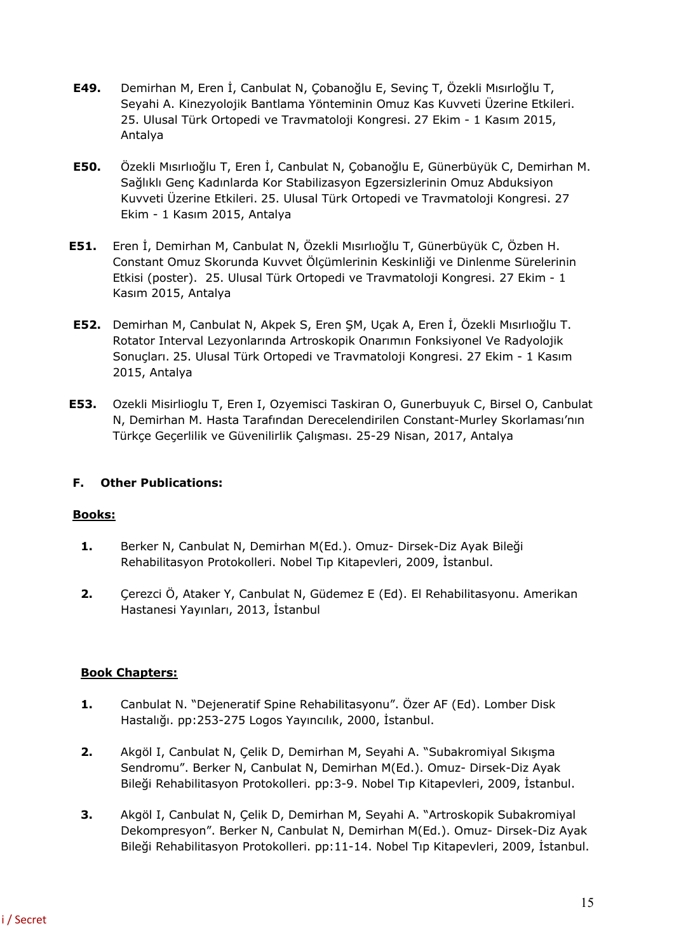- **E49.** Demirhan M, Eren İ, Canbulat N, Çobanoğlu E, Sevinç T, Özekli Mısırloğlu T, Seyahi A. Kinezyolojik Bantlama Yönteminin Omuz Kas Kuvveti Üzerine Etkileri. 25. Ulusal Türk Ortopedi ve Travmatoloji Kongresi. 27 Ekim - 1 Kasım 2015, Antalya
- **E50.** Özekli Mısırlıoğlu T, Eren İ, Canbulat N, Çobanoğlu E, Günerbüyük C, Demirhan M. Sağlıklı Genç Kadınlarda Kor Stabilizasyon Egzersizlerinin Omuz Abduksiyon Kuvveti Üzerine Etkileri. 25. Ulusal Türk Ortopedi ve Travmatoloji Kongresi. 27 Ekim - 1 Kasım 2015, Antalya
- **E51.** Eren İ, Demirhan M, Canbulat N, Özekli Mısırlıoğlu T, Günerbüyük C, Özben H. Constant Omuz Skorunda Kuvvet Ölçümlerinin Keskinliği ve Dinlenme Sürelerinin Etkisi (poster). 25. Ulusal Türk Ortopedi ve Travmatoloji Kongresi. 27 Ekim - 1 Kasım 2015, Antalya
- **E52.** Demirhan M, Canbulat N, Akpek S, Eren ŞM, Uçak A, Eren İ, Özekli Mısırlıoğlu T. Rotator Interval Lezyonlarında Artroskopik Onarımın Fonksiyonel Ve Radyolojik Sonuçları. 25. Ulusal Türk Ortopedi ve Travmatoloji Kongresi. 27 Ekim - 1 Kasım 2015, Antalya
- **E53.** Ozekli Misirlioglu T, Eren I, Ozyemisci Taskiran O, Gunerbuyuk C, Birsel O, Canbulat N, Demirhan M. Hasta Tarafından Derecelendirilen Constant-Murley Skorlaması'nın Türkçe Geçerlilik ve Güvenilirlik Çalışması. 25-29 Nisan, 2017, Antalya

## **F. Other Publications:**

## **Books:**

- **1.** Berker N, Canbulat N, Demirhan M(Ed.). Omuz- Dirsek-Diz Ayak Bileği Rehabilitasyon Protokolleri. Nobel Tıp Kitapevleri, 2009, İstanbul.
- **2.** Çerezci Ö, Ataker Y, Canbulat N, Güdemez E (Ed). El Rehabilitasyonu. Amerikan Hastanesi Yayınları, 2013, İstanbul

## **Book Chapters:**

- **1.** Canbulat N. "Dejeneratif Spine Rehabilitasyonu". Özer AF (Ed). Lomber Disk Hastalığı. pp:253-275 Logos Yayıncılık, 2000, İstanbul.
- **2.** Akgöl I, Canbulat N, Çelik D, Demirhan M, Seyahi A. "Subakromiyal Sıkışma Sendromu". Berker N, Canbulat N, Demirhan M(Ed.). Omuz- Dirsek-Diz Ayak Bileği Rehabilitasyon Protokolleri. pp:3-9. Nobel Tıp Kitapevleri, 2009, İstanbul.
- **3.** Akgöl I, Canbulat N, Çelik D, Demirhan M, Seyahi A. "Artroskopik Subakromiyal Dekompresyon". Berker N, Canbulat N, Demirhan M(Ed.). Omuz- Dirsek-Diz Ayak Bileği Rehabilitasyon Protokolleri. pp:11-14. Nobel Tıp Kitapevleri, 2009, İstanbul.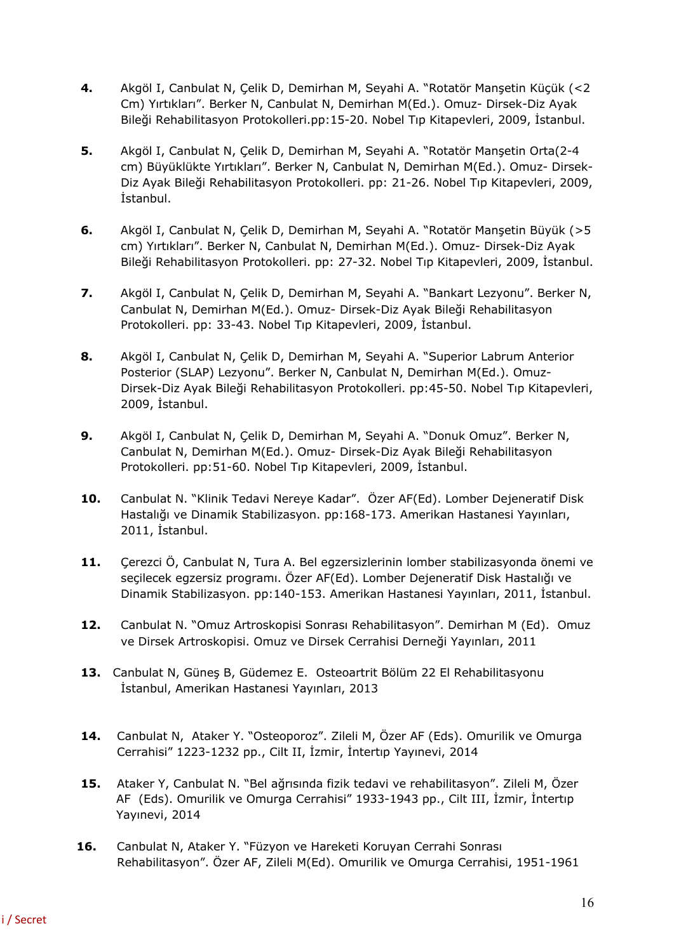- **4.** Akgöl I, Canbulat N, Çelik D, Demirhan M, Seyahi A. "Rotatör Manşetin Küçük (<2 Cm) Yırtıkları". Berker N, Canbulat N, Demirhan M(Ed.). Omuz- Dirsek-Diz Ayak Bileği Rehabilitasyon Protokolleri.pp:15-20. Nobel Tıp Kitapevleri, 2009, İstanbul.
- **5.** Akgöl I, Canbulat N, Çelik D, Demirhan M, Seyahi A. "Rotatör Manşetin Orta(2-4 cm) Büyüklükte Yırtıkları". Berker N, Canbulat N, Demirhan M(Ed.). Omuz- Dirsek-Diz Ayak Bileği Rehabilitasyon Protokolleri. pp: 21-26. Nobel Tıp Kitapevleri, 2009, İstanbul.
- **6.** Akgöl I, Canbulat N, Çelik D, Demirhan M, Seyahi A. "Rotatör Manşetin Büyük (>5 cm) Yırtıkları". Berker N, Canbulat N, Demirhan M(Ed.). Omuz- Dirsek-Diz Ayak Bileği Rehabilitasyon Protokolleri. pp: 27-32. Nobel Tıp Kitapevleri, 2009, İstanbul.
- **7.** Akgöl I, Canbulat N, Çelik D, Demirhan M, Seyahi A. "Bankart Lezyonu". Berker N, Canbulat N, Demirhan M(Ed.). Omuz- Dirsek-Diz Ayak Bileği Rehabilitasyon Protokolleri. pp: 33-43. Nobel Tıp Kitapevleri, 2009, İstanbul.
- **8.** Akgöl I, Canbulat N, Çelik D, Demirhan M, Seyahi A. "Superior Labrum Anterior Posterior (SLAP) Lezyonu". Berker N, Canbulat N, Demirhan M(Ed.). Omuz-Dirsek-Diz Ayak Bileği Rehabilitasyon Protokolleri. pp:45-50. Nobel Tıp Kitapevleri, 2009, İstanbul.
- **9.** Akgöl I, Canbulat N, Çelik D, Demirhan M, Seyahi A. "Donuk Omuz". Berker N, Canbulat N, Demirhan M(Ed.). Omuz- Dirsek-Diz Ayak Bileği Rehabilitasyon Protokolleri. pp:51-60. Nobel Tıp Kitapevleri, 2009, İstanbul.
- **10.** Canbulat N. "Klinik Tedavi Nereye Kadar". Özer AF(Ed). Lomber Dejeneratif Disk Hastalığı ve Dinamik Stabilizasyon. pp:168-173. Amerikan Hastanesi Yayınları, 2011, İstanbul.
- **11.** Çerezci Ö, Canbulat N, Tura A. Bel egzersizlerinin lomber stabilizasyonda önemi ve seçilecek egzersiz programı. Özer AF(Ed). Lomber Dejeneratif Disk Hastalığı ve Dinamik Stabilizasyon. pp:140-153. Amerikan Hastanesi Yayınları, 2011, İstanbul.
- **12.** Canbulat N. "Omuz Artroskopisi Sonrası Rehabilitasyon". Demirhan M (Ed). Omuz ve Dirsek Artroskopisi. Omuz ve Dirsek Cerrahisi Derneği Yayınları, 2011
- **13.** Canbulat N, Güneş B, Güdemez E. Osteoartrit Bölüm 22 El Rehabilitasyonu İstanbul, Amerikan Hastanesi Yayınları, 2013
- **14.** Canbulat N, Ataker Y. "Osteoporoz". Zileli M, Özer AF (Eds). Omurilik ve Omurga Cerrahisi" 1223-1232 pp., Cilt II, İzmir, İntertıp Yayınevi, 2014
- **15.** Ataker Y, Canbulat N. "Bel ağrısında fizik tedavi ve rehabilitasyon". Zileli M, Özer AF (Eds). Omurilik ve Omurga Cerrahisi" 1933-1943 pp., Cilt III, İzmir, İntertıp Yayınevi, 2014
- **16.** Canbulat N, Ataker Y. "Füzyon ve Hareketi Koruyan Cerrahi Sonrası Rehabilitasyon". Özer AF, Zileli M(Ed). Omurilik ve Omurga Cerrahisi, 1951-1961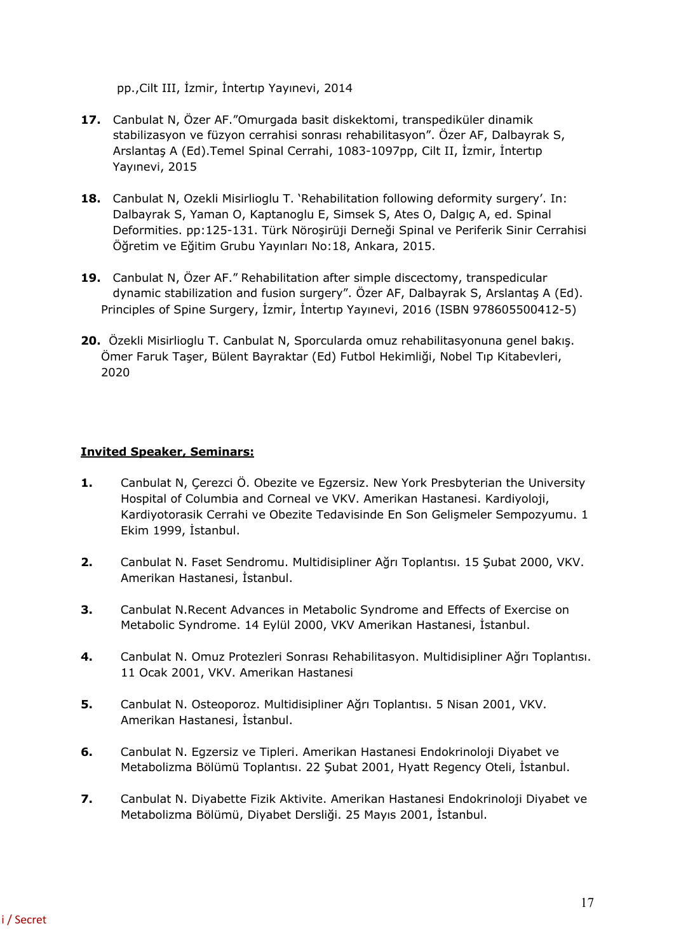pp.,Cilt III, İzmir, İntertıp Yayınevi, 2014

- **17.** Canbulat N, Özer AF."Omurgada basit diskektomi, transpediküler dinamik stabilizasyon ve füzyon cerrahisi sonrası rehabilitasyon". Özer AF, Dalbayrak S, Arslantaş A (Ed).Temel Spinal Cerrahi, 1083-1097pp, Cilt II, İzmir, İntertıp Yayınevi, 2015
- **18.** Canbulat N, Ozekli Misirlioglu T. 'Rehabilitation following deformity surgery'. In: Dalbayrak S, Yaman O, Kaptanoglu E, Simsek S, Ates O, Dalgıç A, ed. Spinal Deformities. pp:125-131. Türk Nöroşirüji Derneği Spinal ve Periferik Sinir Cerrahisi Öğretim ve Eğitim Grubu Yayınları No:18, Ankara, 2015.
- **19.** Canbulat N, Özer AF." Rehabilitation after simple discectomy, transpedicular dynamic stabilization and fusion surgery". Özer AF, Dalbayrak S, Arslantaş A (Ed). Principles of Spine Surgery, İzmir, İntertıp Yayınevi, 2016 (ISBN 978605500412-5)
- **20.** Özekli Misirlioglu T. Canbulat N, Sporcularda omuz rehabilitasyonuna genel bakış. Ömer Faruk Taşer, Bülent Bayraktar (Ed) Futbol Hekimliği, Nobel Tıp Kitabevleri, 2020

## **Invited Speaker, Seminars:**

- **1.** Canbulat N, Çerezci Ö. Obezite ve Egzersiz. New York Presbyterian the University Hospital of Columbia and Corneal ve VKV. Amerikan Hastanesi. Kardiyoloji, Kardiyotorasik Cerrahi ve Obezite Tedavisinde En Son Gelişmeler Sempozyumu. 1 Ekim 1999, İstanbul.
- **2.** Canbulat N. Faset Sendromu. Multidisipliner Ağrı Toplantısı. 15 Şubat 2000, VKV. Amerikan Hastanesi, İstanbul.
- **3.** Canbulat N.Recent Advances in Metabolic Syndrome and Effects of Exercise on Metabolic Syndrome. 14 Eylül 2000, VKV Amerikan Hastanesi, İstanbul.
- **4.** Canbulat N. Omuz Protezleri Sonrası Rehabilitasyon. Multidisipliner Ağrı Toplantısı. 11 Ocak 2001, VKV. Amerikan Hastanesi
- **5.** Canbulat N. Osteoporoz. Multidisipliner Ağrı Toplantısı. 5 Nisan 2001, VKV. Amerikan Hastanesi, İstanbul.
- **6.** Canbulat N. Egzersiz ve Tipleri. Amerikan Hastanesi Endokrinoloji Diyabet ve Metabolizma Bölümü Toplantısı. 22 Şubat 2001, Hyatt Regency Oteli, İstanbul.
- **7.** Canbulat N. Diyabette Fizik Aktivite. Amerikan Hastanesi Endokrinoloji Diyabet ve Metabolizma Bölümü, Diyabet Dersliği. 25 Mayıs 2001, İstanbul.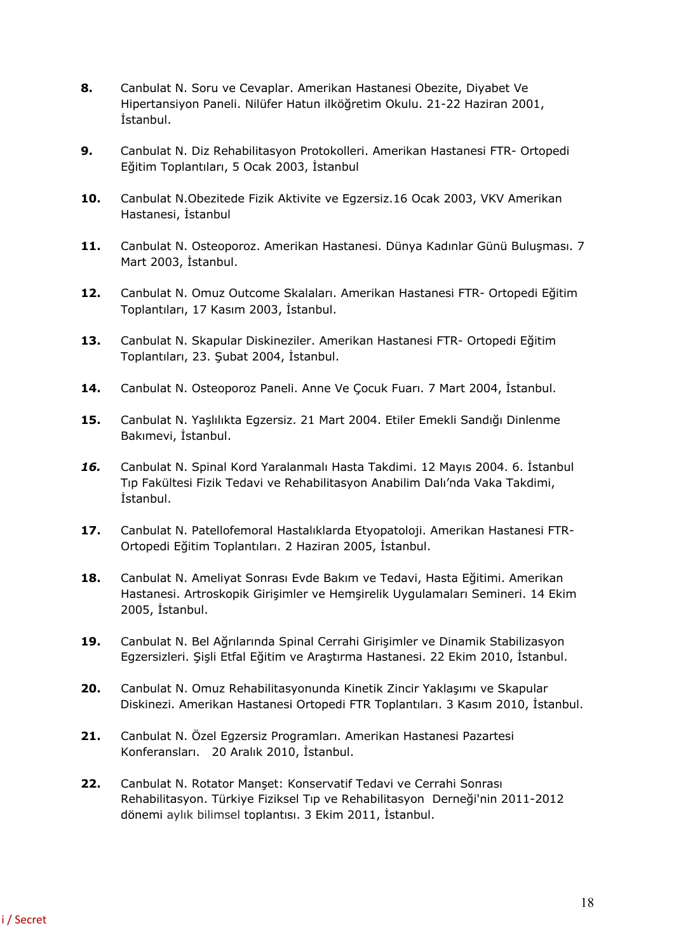- **8.** Canbulat N. Soru ve Cevaplar. Amerikan Hastanesi Obezite, Diyabet Ve Hipertansiyon Paneli. Nilüfer Hatun ilköğretim Okulu. 21-22 Haziran 2001, İstanbul.
- **9.** Canbulat N. Diz Rehabilitasyon Protokolleri. Amerikan Hastanesi FTR- Ortopedi Eğitim Toplantıları, 5 Ocak 2003, İstanbul
- **10.** Canbulat N.Obezitede Fizik Aktivite ve Egzersiz.16 Ocak 2003, VKV Amerikan Hastanesi, İstanbul
- **11.** Canbulat N. Osteoporoz. Amerikan Hastanesi. Dünya Kadınlar Günü Buluşması. 7 Mart 2003, İstanbul.
- **12.** Canbulat N. Omuz Outcome Skalaları. Amerikan Hastanesi FTR- Ortopedi Eğitim Toplantıları, 17 Kasım 2003, İstanbul.
- **13.** Canbulat N. Skapular Diskineziler. Amerikan Hastanesi FTR- Ortopedi Eğitim Toplantıları, 23. Şubat 2004, İstanbul.
- **14.** Canbulat N. Osteoporoz Paneli. Anne Ve Çocuk Fuarı. 7 Mart 2004, İstanbul.
- **15.** Canbulat N. Yaşlılıkta Egzersiz. 21 Mart 2004. Etiler Emekli Sandığı Dinlenme Bakımevi, İstanbul.
- *16.* Canbulat N. Spinal Kord Yaralanmalı Hasta Takdimi. 12 Mayıs 2004. 6. İstanbul Tıp Fakültesi Fizik Tedavi ve Rehabilitasyon Anabilim Dalı'nda Vaka Takdimi, İstanbul.
- **17.** Canbulat N. Patellofemoral Hastalıklarda Etyopatoloji. Amerikan Hastanesi FTR-Ortopedi Eğitim Toplantıları. 2 Haziran 2005, İstanbul.
- **18.** Canbulat N. Ameliyat Sonrası Evde Bakım ve Tedavi, Hasta Eğitimi. Amerikan Hastanesi. Artroskopik Girişimler ve Hemşirelik Uygulamaları Semineri. 14 Ekim 2005, İstanbul.
- **19.** Canbulat N. Bel Ağrılarında Spinal Cerrahi Girişimler ve Dinamik Stabilizasyon Egzersizleri. Şişli Etfal Eğitim ve Araştırma Hastanesi. 22 Ekim 2010, İstanbul.
- **20.** Canbulat N. Omuz Rehabilitasyonunda Kinetik Zincir Yaklaşımı ve Skapular Diskinezi. Amerikan Hastanesi Ortopedi FTR Toplantıları. 3 Kasım 2010, İstanbul.
- **21.** Canbulat N. Özel Egzersiz Programları. Amerikan Hastanesi Pazartesi Konferansları. 20 Aralık 2010, İstanbul.
- **22.** Canbulat N. Rotator Manşet: Konservatif Tedavi ve Cerrahi Sonrası Rehabilitasyon. Türkiye Fiziksel Tıp ve Rehabilitasyon Derneği'nin 2011-2012 dönemi aylık bilimsel toplantısı. 3 Ekim 2011, İstanbul.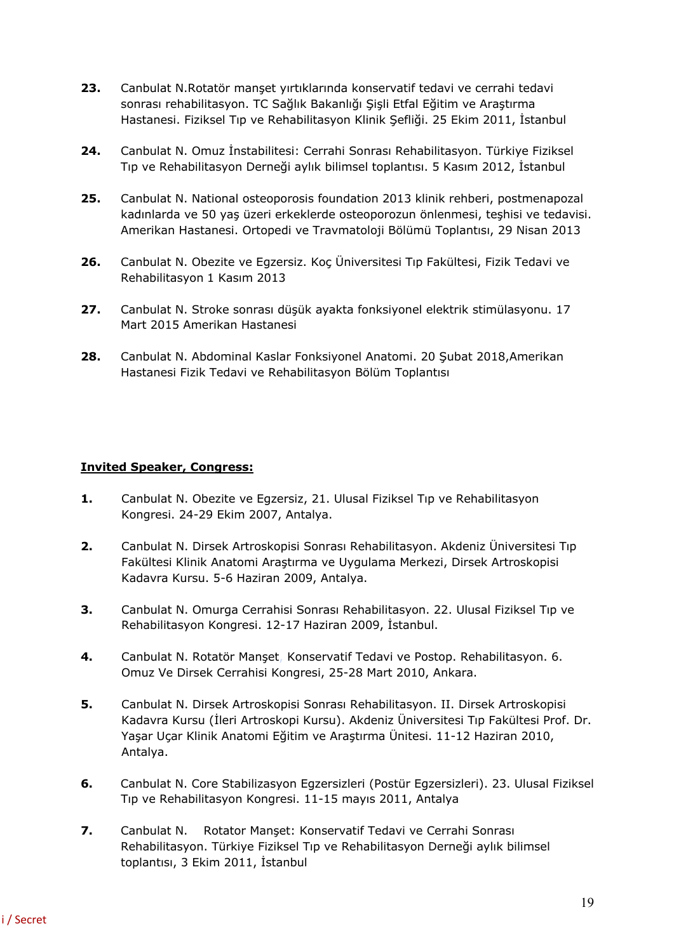- **23.** Canbulat N.Rotatör manşet yırtıklarında konservatif tedavi ve cerrahi tedavi sonrası rehabilitasyon. TC Sağlık Bakanlığı Şişli Etfal Eğitim ve Araştırma Hastanesi. Fiziksel Tıp ve Rehabilitasyon Klinik Şefliği. 25 Ekim 2011, İstanbul
- **24.** Canbulat N. Omuz İnstabilitesi: Cerrahi Sonrası Rehabilitasyon. Türkiye Fiziksel Tıp ve Rehabilitasyon Derneği aylık bilimsel toplantısı. 5 Kasım 2012, İstanbul
- **25.** Canbulat N. National osteoporosis foundation 2013 klinik rehberi, postmenapozal kadınlarda ve 50 yaş üzeri erkeklerde osteoporozun önlenmesi, teşhisi ve tedavisi. Amerikan Hastanesi. Ortopedi ve Travmatoloji Bölümü Toplantısı, 29 Nisan 2013
- **26.** Canbulat N. Obezite ve Egzersiz. Koç Üniversitesi Tıp Fakültesi, Fizik Tedavi ve Rehabilitasyon 1 Kasım 2013
- **27.** Canbulat N. Stroke sonrası düşük ayakta fonksiyonel elektrik stimülasyonu. 17 Mart 2015 Amerikan Hastanesi
- **28.** Canbulat N. Abdominal Kaslar Fonksiyonel Anatomi. 20 Şubat 2018,Amerikan Hastanesi Fizik Tedavi ve Rehabilitasyon Bölüm Toplantısı

#### **Invited Speaker, Congress:**

- **1.** Canbulat N. Obezite ve Egzersiz, 21. Ulusal Fiziksel Tıp ve Rehabilitasyon Kongresi. 24-29 Ekim 2007, Antalya.
- **2.** Canbulat N. Dirsek Artroskopisi Sonrası Rehabilitasyon. Akdeniz Üniversitesi Tıp Fakültesi Klinik Anatomi Araştırma ve Uygulama Merkezi, Dirsek Artroskopisi Kadavra Kursu. 5-6 Haziran 2009, Antalya.
- **3.** Canbulat N. Omurga Cerrahisi Sonrası Rehabilitasyon. 22. Ulusal Fiziksel Tıp ve Rehabilitasyon Kongresi. 12-17 Haziran 2009, İstanbul.
- **4.** Canbulat N. Rotatör Manşet, Konservatif Tedavi ve Postop. Rehabilitasyon. 6. Omuz Ve Dirsek Cerrahisi Kongresi, 25-28 Mart 2010, Ankara.
- **5.** Canbulat N. Dirsek Artroskopisi Sonrası Rehabilitasyon. II. Dirsek Artroskopisi Kadavra Kursu (İleri Artroskopi Kursu). Akdeniz Üniversitesi Tıp Fakültesi Prof. Dr. Yaşar Uçar Klinik Anatomi Eğitim ve Araştırma Ünitesi. 11-12 Haziran 2010, Antalya.
- **6.** Canbulat N. Core Stabilizasyon Egzersizleri (Postür Egzersizleri). 23. Ulusal Fiziksel Tıp ve Rehabilitasyon Kongresi. 11-15 mayıs 2011, Antalya
- **7.** Canbulat N. Rotator Manset: Konservatif Tedavi ve Cerrahi Sonrası Rehabilitasyon. Türkiye Fiziksel Tıp ve Rehabilitasyon Derneği aylık bilimsel toplantısı, 3 Ekim 2011, İstanbul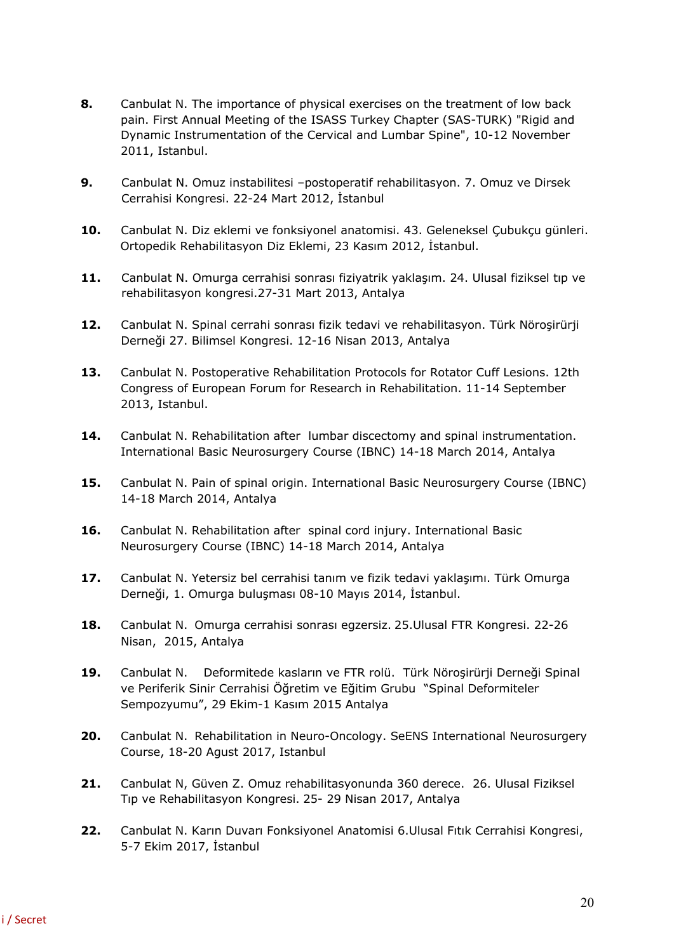- **8.** Canbulat N. The importance of physical exercises on the treatment of low back pain. First Annual Meeting of the ISASS Turkey Chapter (SAS-TURK) "Rigid and Dynamic Instrumentation of the Cervical and Lumbar Spine", 10-12 November 2011, Istanbul.
- **9.** Canbulat N. Omuz instabilitesi –postoperatif rehabilitasyon. 7. Omuz ve Dirsek Cerrahisi Kongresi. 22-24 Mart 2012, İstanbul
- **10.** Canbulat N. Diz eklemi ve fonksiyonel anatomisi. 43. Geleneksel Çubukçu günleri. Ortopedik Rehabilitasyon Diz Eklemi, 23 Kasım 2012, İstanbul.
- **11.** Canbulat N. Omurga cerrahisi sonrası fiziyatrik yaklaşım. 24. Ulusal fiziksel tıp ve rehabilitasyon kongresi.27-31 Mart 2013, Antalya
- **12.** Canbulat N. Spinal cerrahi sonrası fizik tedavi ve rehabilitasyon. Türk Nöroşirürji Derneği 27. Bilimsel Kongresi. 12-16 Nisan 2013, Antalya
- **13.** Canbulat N. Postoperative Rehabilitation Protocols for Rotator Cuff Lesions. 12th Congress of European Forum for Research in Rehabilitation. 11-14 September 2013, Istanbul.
- **14.** Canbulat N. Rehabilitation after lumbar discectomy and spinal instrumentation. International Basic Neurosurgery Course (IBNC) 14-18 March 2014, Antalya
- 15. Canbulat N. Pain of spinal origin. International Basic Neurosurgery Course (IBNC) 14-18 March 2014, Antalya
- **16.** Canbulat N. Rehabilitation after spinal cord injury. International Basic Neurosurgery Course (IBNC) 14-18 March 2014, Antalya
- **17.** Canbulat N. Yetersiz bel cerrahisi tanım ve fizik tedavi yaklaşımı. Türk Omurga Derneği, 1. Omurga buluşması 08-10 Mayıs 2014, İstanbul.
- **18.** Canbulat N. Omurga cerrahisi sonrası egzersiz. 25.Ulusal FTR Kongresi. 22-26 Nisan, 2015, Antalya
- **19.** Canbulat N. Deformitede kasların ve FTR rolü. Türk Nöroşirürji Derneği Spinal ve Periferik Sinir Cerrahisi Öğretim ve Eğitim Grubu "Spinal Deformiteler Sempozyumu", 29 Ekim-1 Kasım 2015 Antalya
- **20.** Canbulat N. Rehabilitation in Neuro-Oncology. SeENS International Neurosurgery Course, 18-20 Agust 2017, Istanbul
- **21.** Canbulat N, Güven Z. Omuz rehabilitasyonunda 360 derece. 26. Ulusal Fiziksel Tıp ve Rehabilitasyon Kongresi. 25- 29 Nisan 2017, Antalya
- **22.** Canbulat N. Karın Duvarı Fonksiyonel Anatomisi 6.Ulusal Fıtık Cerrahisi Kongresi, 5-7 Ekim 2017, İstanbul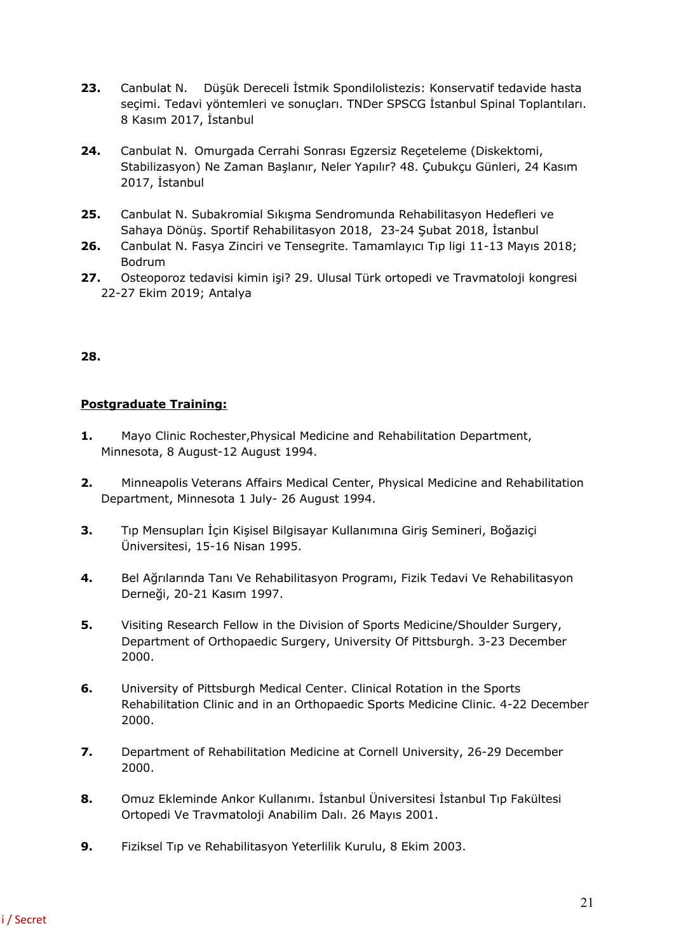- **23.** Canbulat N. Düşük Dereceli İstmik Spondilolistezis: Konservatif tedavide hasta seçimi. Tedavi yöntemleri ve sonuçları. TNDer SPSCG İstanbul Spinal Toplantıları. 8 Kasım 2017, İstanbul
- **24.** Canbulat N. Omurgada Cerrahi Sonrası Egzersiz Reçeteleme (Diskektomi, Stabilizasyon) Ne Zaman Başlanır, Neler Yapılır? 48. Çubukçu Günleri, 24 Kasım 2017, İstanbul
- **25.** Canbulat N. Subakromial Sıkışma Sendromunda Rehabilitasyon Hedefleri ve Sahaya Dönüş. Sportif Rehabilitasyon 2018, 23-24 Şubat 2018, İstanbul
- **26.** Canbulat N. Fasya Zinciri ve Tensegrite. Tamamlayıcı Tıp ligi 11-13 Mayıs 2018; Bodrum
- **27.** Osteoporoz tedavisi kimin işi? 29. Ulusal Türk ortopedi ve Travmatoloji kongresi 22-27 Ekim 2019; Antalya

## **28.**

## **Postgraduate Training:**

- **1.** Mayo Clinic Rochester,Physical Medicine and Rehabilitation Department, Minnesota, 8 August-12 August 1994.
- **2.** Minneapolis Veterans Affairs Medical Center, Physical Medicine and Rehabilitation Department, Minnesota 1 July- 26 August 1994.
- **3.** Tıp Mensupları İçin Kişisel Bilgisayar Kullanımına Giriş Semineri, Boğaziçi Üniversitesi, 15-16 Nisan 1995.
- **4.** Bel Ağrılarında Tanı Ve Rehabilitasyon Programı, Fizik Tedavi Ve Rehabilitasyon Derneği, 20-21 Kasım 1997.
- **5.** Visiting Research Fellow in the Division of Sports Medicine/Shoulder Surgery, Department of Orthopaedic Surgery, University Of Pittsburgh. 3-23 December 2000.
- **6.** University of Pittsburgh Medical Center. Clinical Rotation in the Sports Rehabilitation Clinic and in an Orthopaedic Sports Medicine Clinic. 4-22 December 2000.
- **7.** Department of Rehabilitation Medicine at Cornell University, 26-29 December 2000.
- **8.** Omuz Ekleminde Ankor Kullanımı. İstanbul Üniversitesi İstanbul Tıp Fakültesi Ortopedi Ve Travmatoloji Anabilim Dalı. 26 Mayıs 2001.
- **9.** Fiziksel Tıp ve Rehabilitasyon Yeterlilik Kurulu, 8 Ekim 2003.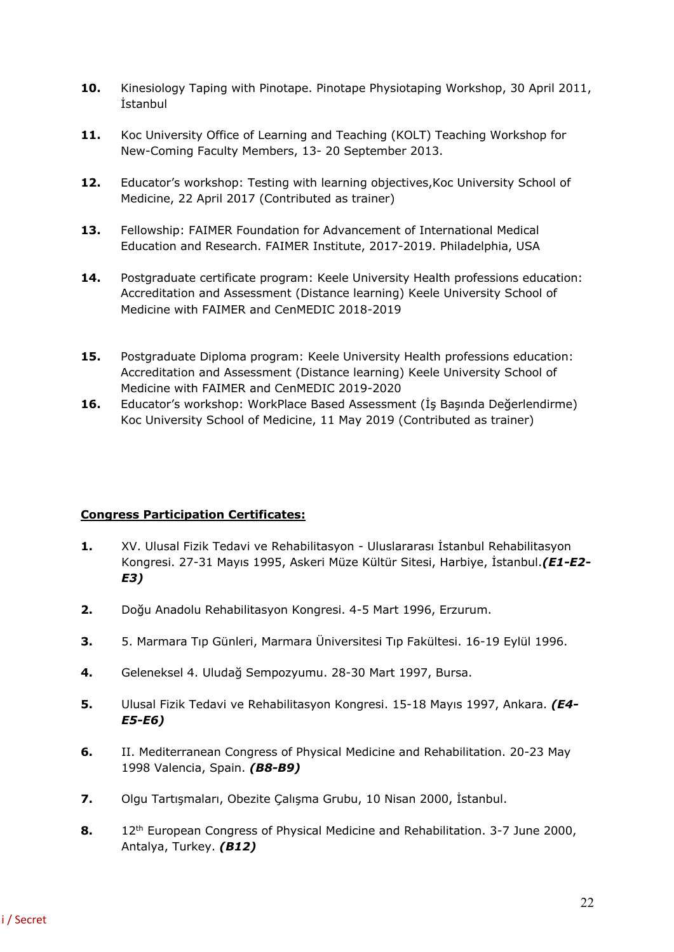- **10.** Kinesiology Taping with Pinotape. Pinotape Physiotaping Workshop, 30 April 2011, İstanbul
- **11.** Koc University Office of Learning and Teaching (KOLT) Teaching Workshop for New-Coming Faculty Members, 13- 20 September 2013.
- **12.** Educator's workshop: Testing with learning objectives,Koc University School of Medicine, 22 April 2017 (Contributed as trainer)
- **13.** Fellowship: FAIMER Foundation for Advancement of International Medical Education and Research. FAIMER Institute, 2017-2019. Philadelphia, USA
- **14.** Postgraduate certificate program: Keele University Health professions education: Accreditation and Assessment (Distance learning) Keele University School of Medicine with FAIMER and CenMEDIC 2018-2019
- **15.** Postgraduate Diploma program: Keele University Health professions education: Accreditation and Assessment (Distance learning) Keele University School of Medicine with FAIMER and CenMEDIC 2019-2020
- **16.** Educator's workshop: WorkPlace Based Assessment (İş Başında Değerlendirme) Koc University School of Medicine, 11 May 2019 (Contributed as trainer)

## **Congress Participation Certificates:**

- **1.** XV. Ulusal Fizik Tedavi ve Rehabilitasyon Uluslararası İstanbul Rehabilitasyon Kongresi. 27-31 Mayıs 1995, Askeri Müze Kültür Sitesi, Harbiye, İstanbul.*(E1-E2- E3)*
- **2.** Doğu Anadolu Rehabilitasyon Kongresi. 4-5 Mart 1996, Erzurum.
- **3.** 5. Marmara Tıp Günleri, Marmara Üniversitesi Tıp Fakültesi. 16-19 Eylül 1996.
- **4.** Geleneksel 4. Uludağ Sempozyumu. 28-30 Mart 1997, Bursa.
- **5.** Ulusal Fizik Tedavi ve Rehabilitasyon Kongresi. 15-18 Mayıs 1997, Ankara. *(E4- E5-E6)*
- **6.** II. Mediterranean Congress of Physical Medicine and Rehabilitation. 20-23 May 1998 Valencia, Spain. *(B8-B9)*
- **7.** Olgu Tartışmaları, Obezite Çalışma Grubu, 10 Nisan 2000, İstanbul.
- **8.** 12<sup>th</sup> European Congress of Physical Medicine and Rehabilitation. 3-7 June 2000, Antalya, Turkey. *(B12)*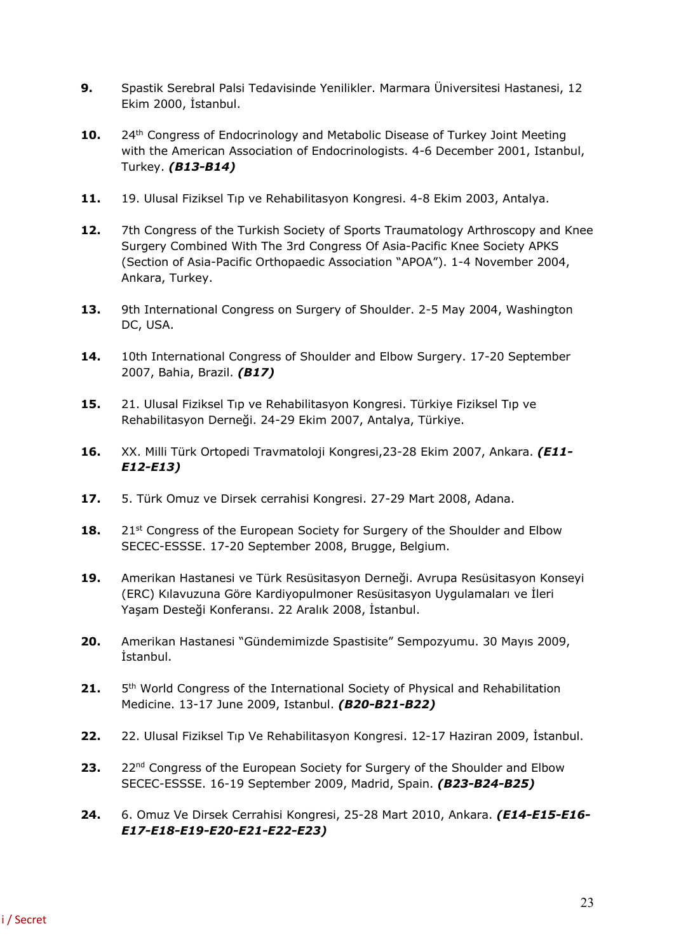- **9.** Spastik Serebral Palsi Tedavisinde Yenilikler. Marmara Üniversitesi Hastanesi, 12 Ekim 2000, İstanbul.
- **10.** 24<sup>th</sup> Congress of Endocrinology and Metabolic Disease of Turkey Joint Meeting with the American Association of Endocrinologists. 4-6 December 2001, Istanbul, Turkey. *(B13-B14)*
- **11.** 19. Ulusal Fiziksel Tıp ve Rehabilitasyon Kongresi. 4-8 Ekim 2003, Antalya.
- **12.** 7th Congress of the Turkish Society of Sports Traumatology Arthroscopy and Knee Surgery Combined With The 3rd Congress Of Asia-Pacific Knee Society APKS (Section of Asia-Pacific Orthopaedic Association "APOA"). 1-4 November 2004, Ankara, Turkey.
- **13.** 9th International Congress on Surgery of Shoulder. 2-5 May 2004, Washington DC, USA.
- **14.** 10th International Congress of Shoulder and Elbow Surgery. 17-20 September 2007, Bahia, Brazil. *(B17)*
- **15.** 21. Ulusal Fiziksel Tıp ve Rehabilitasyon Kongresi. Türkiye Fiziksel Tıp ve Rehabilitasyon Derneği. 24-29 Ekim 2007, Antalya, Türkiye.
- **16.** XX. Milli Türk Ortopedi Travmatoloji Kongresi,23-28 Ekim 2007, Ankara. *(E11- E12-E13)*
- **17.** 5. Türk Omuz ve Dirsek cerrahisi Kongresi. 27-29 Mart 2008, Adana.
- **18.** 21st Congress of the European Society for Surgery of the Shoulder and Elbow SECEC-ESSSE. 17-20 September 2008, Brugge, Belgium.
- **19.** Amerikan Hastanesi ve Türk Resüsitasyon Derneği. Avrupa Resüsitasyon Konseyi (ERC) Kılavuzuna Göre Kardiyopulmoner Resüsitasyon Uygulamaları ve İleri Yaşam Desteği Konferansı. 22 Aralık 2008, İstanbul.
- **20.** Amerikan Hastanesi "Gündemimizde Spastisite" Sempozyumu. 30 Mayıs 2009, İstanbul.
- **21.** 5th World Congress of the International Society of Physical and Rehabilitation Medicine. 13-17 June 2009, Istanbul. *(B20-B21-B22)*
- **22.** 22. Ulusal Fiziksel Tıp Ve Rehabilitasyon Kongresi. 12-17 Haziran 2009, İstanbul.
- 23. 22<sup>nd</sup> Congress of the European Society for Surgery of the Shoulder and Elbow SECEC-ESSSE. 16-19 September 2009, Madrid, Spain. *(B23-B24-B25)*
- **24.** 6. Omuz Ve Dirsek Cerrahisi Kongresi, 25-28 Mart 2010, Ankara. *(E14-E15-E16- E17-E18-E19-E20-E21-E22-E23)*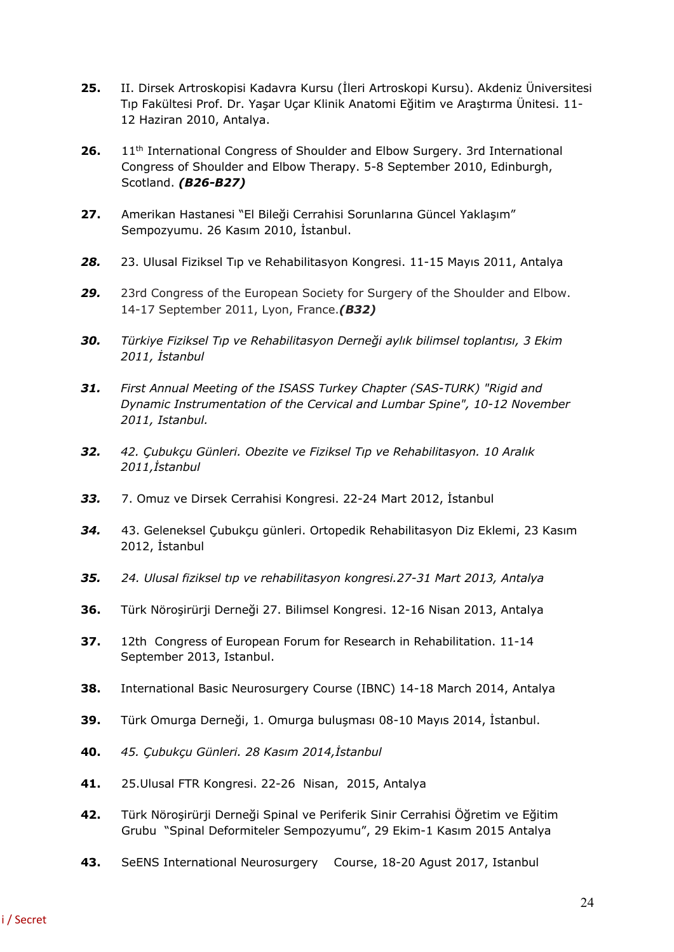- **25.** II. Dirsek Artroskopisi Kadavra Kursu (İleri Artroskopi Kursu). Akdeniz Üniversitesi Tıp Fakültesi Prof. Dr. Yaşar Uçar Klinik Anatomi Eğitim ve Araştırma Ünitesi. 11- 12 Haziran 2010, Antalya.
- 26. 11<sup>th</sup> International Congress of Shoulder and Elbow Surgery. 3rd International Congress of Shoulder and Elbow Therapy. 5-8 September 2010, Edinburgh, Scotland. *(B26-B27)*
- **27.** Amerikan Hastanesi "El Bileği Cerrahisi Sorunlarına Güncel Yaklaşım" Sempozyumu. 26 Kasım 2010, İstanbul.
- *28.* 23. Ulusal Fiziksel Tıp ve Rehabilitasyon Kongresi. 11-15 Mayıs 2011, Antalya
- *29.* 23rd Congress of the European Society for Surgery of the Shoulder and Elbow. 14-17 September 2011, Lyon, France.*(B32)*
- *30. Türkiye Fiziksel Tıp ve Rehabilitasyon Derneği aylık bilimsel toplantısı, 3 Ekim 2011, İstanbul*
- *31. First Annual Meeting of the ISASS Turkey Chapter (SAS-TURK) "Rigid and Dynamic Instrumentation of the Cervical and Lumbar Spine", 10-12 November 2011, Istanbul.*
- *32. 42. Çubukçu Günleri. Obezite ve Fiziksel Tıp ve Rehabilitasyon. 10 Aralık 2011,İstanbul*
- *33.* 7. Omuz ve Dirsek Cerrahisi Kongresi. 22-24 Mart 2012, İstanbul
- *34.* 43. Geleneksel Çubukçu günleri. Ortopedik Rehabilitasyon Diz Eklemi, 23 Kasım 2012, İstanbul
- *35. 24. Ulusal fiziksel tıp ve rehabilitasyon kongresi.27-31 Mart 2013, Antalya*
- **36.** Türk Nöroşirürji Derneği 27. Bilimsel Kongresi. 12-16 Nisan 2013, Antalya
- **37.** 12th Congress of European Forum for Research in Rehabilitation. 11-14 September 2013, Istanbul.
- **38.** International Basic Neurosurgery Course (IBNC) 14-18 March 2014, Antalya
- **39.** Türk Omurga Derneği, 1. Omurga buluşması 08-10 Mayıs 2014, İstanbul.
- **40.** *45. Çubukçu Günleri. 28 Kasım 2014,İstanbul*
- **41.** 25.Ulusal FTR Kongresi. 22-26 Nisan, 2015, Antalya
- **42.** Türk Nöroşirürji Derneği Spinal ve Periferik Sinir Cerrahisi Öğretim ve Eğitim Grubu "Spinal Deformiteler Sempozyumu", 29 Ekim-1 Kasım 2015 Antalya
- **43.** SeENS International Neurosurgery Course, 18-20 Agust 2017, Istanbul